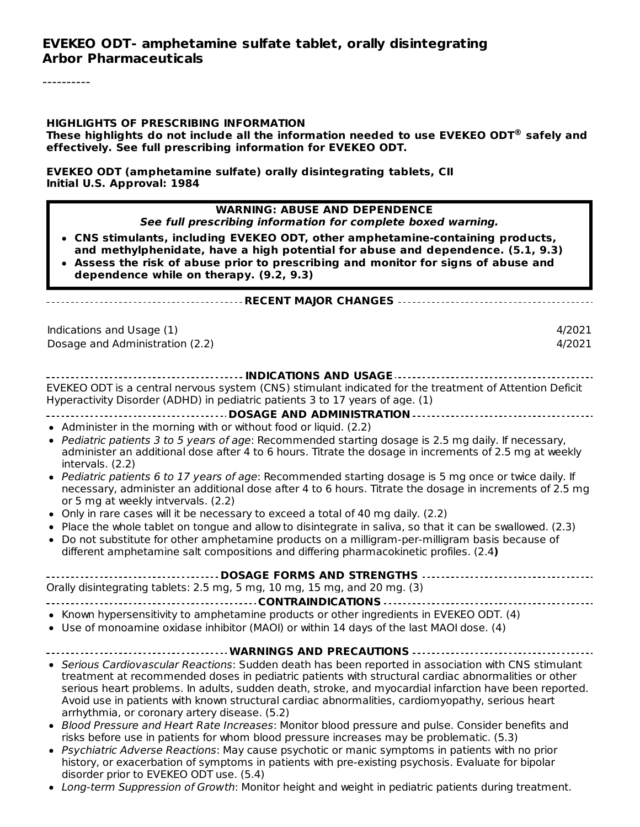----------

#### **HIGHLIGHTS OF PRESCRIBING INFORMATION**

**These highlights do not include all the information needed to use EVEKEO ODT safely and ®effectively. See full prescribing information for EVEKEO ODT.**

**EVEKEO ODT (amphetamine sulfate) orally disintegrating tablets, CII Initial U.S. Approval: 1984**

| <b>WARNING: ABUSE AND DEPENDENCE</b><br>See full prescribing information for complete boxed warning.<br>• CNS stimulants, including EVEKEO ODT, other amphetamine-containing products,<br>and methylphenidate, have a high potential for abuse and dependence. (5.1, 9.3)                                                                                                                                                                                                  |                  |
|----------------------------------------------------------------------------------------------------------------------------------------------------------------------------------------------------------------------------------------------------------------------------------------------------------------------------------------------------------------------------------------------------------------------------------------------------------------------------|------------------|
| • Assess the risk of abuse prior to prescribing and monitor for signs of abuse and<br>dependence while on therapy. (9.2, 9.3)                                                                                                                                                                                                                                                                                                                                              |                  |
| ---------------------- RECENT MAJOR CHANGES -----------------------------------                                                                                                                                                                                                                                                                                                                                                                                            |                  |
| Indications and Usage (1)<br>Dosage and Administration (2.2)                                                                                                                                                                                                                                                                                                                                                                                                               | 4/2021<br>4/2021 |
|                                                                                                                                                                                                                                                                                                                                                                                                                                                                            |                  |
| EVEKEO ODT is a central nervous system (CNS) stimulant indicated for the treatment of Attention Deficit<br>Hyperactivity Disorder (ADHD) in pediatric patients 3 to 17 years of age. (1)                                                                                                                                                                                                                                                                                   |                  |
| ------------------------------------ DOSAGE AND ADMINISTRATION ---------------------------------                                                                                                                                                                                                                                                                                                                                                                           |                  |
| • Administer in the morning with or without food or liquid. (2.2)                                                                                                                                                                                                                                                                                                                                                                                                          |                  |
| • Pediatric patients 3 to 5 years of age: Recommended starting dosage is 2.5 mg daily. If necessary,<br>administer an additional dose after 4 to 6 hours. Titrate the dosage in increments of 2.5 mg at weekly<br>intervals. (2.2)                                                                                                                                                                                                                                         |                  |
| • Pediatric patients 6 to 17 years of age: Recommended starting dosage is 5 mg once or twice daily. If<br>necessary, administer an additional dose after 4 to 6 hours. Titrate the dosage in increments of 2.5 mg<br>or 5 mg at weekly intvervals. (2.2)                                                                                                                                                                                                                   |                  |
| • Only in rare cases will it be necessary to exceed a total of 40 mg daily. (2.2)                                                                                                                                                                                                                                                                                                                                                                                          |                  |
| . Place the whole tablet on tongue and allow to disintegrate in saliva, so that it can be swallowed. (2.3)<br>• Do not substitute for other amphetamine products on a milligram-per-milligram basis because of<br>different amphetamine salt compositions and differing pharmacokinetic profiles. (2.4)                                                                                                                                                                    |                  |
| ------------        DOSAGE FORMS AND STRENGTHS        --------------------------                                                                                                                                                                                                                                                                                                                                                                                           |                  |
| Orally disintegrating tablets: 2.5 mg, 5 mg, 10 mg, 15 mg, and 20 mg. (3)                                                                                                                                                                                                                                                                                                                                                                                                  |                  |
|                                                                                                                                                                                                                                                                                                                                                                                                                                                                            |                  |
| • Known hypersensitivity to amphetamine products or other ingredients in EVEKEO ODT. (4)<br>• Use of monoamine oxidase inhibitor (MAOI) or within 14 days of the last MAOI dose. (4)                                                                                                                                                                                                                                                                                       |                  |
| WARNINGS AND PRECAUTIONS -                                                                                                                                                                                                                                                                                                                                                                                                                                                 |                  |
| • Serious Cardiovascular Reactions: Sudden death has been reported in association with CNS stimulant<br>treatment at recommended doses in pediatric patients with structural cardiac abnormalities or other<br>serious heart problems. In adults, sudden death, stroke, and myocardial infarction have been reported.<br>Avoid use in patients with known structural cardiac abnormalities, cardiomyopathy, serious heart<br>arrhythmia, or coronary artery disease. (5.2) |                  |
| • Blood Pressure and Heart Rate Increases: Monitor blood pressure and pulse. Consider benefits and<br>risks before use in patients for whom blood pressure increases may be problematic. (5.3)                                                                                                                                                                                                                                                                             |                  |
| • Psychiatric Adverse Reactions: May cause psychotic or manic symptoms in patients with no prior<br>history, or exacerbation of symptoms in patients with pre-existing psychosis. Evaluate for bipolar<br>disorder prior to EVEKEO ODT use. (5.4)                                                                                                                                                                                                                          |                  |
| • Long-term Suppression of Growth: Monitor height and weight in pediatric patients during treatment.                                                                                                                                                                                                                                                                                                                                                                       |                  |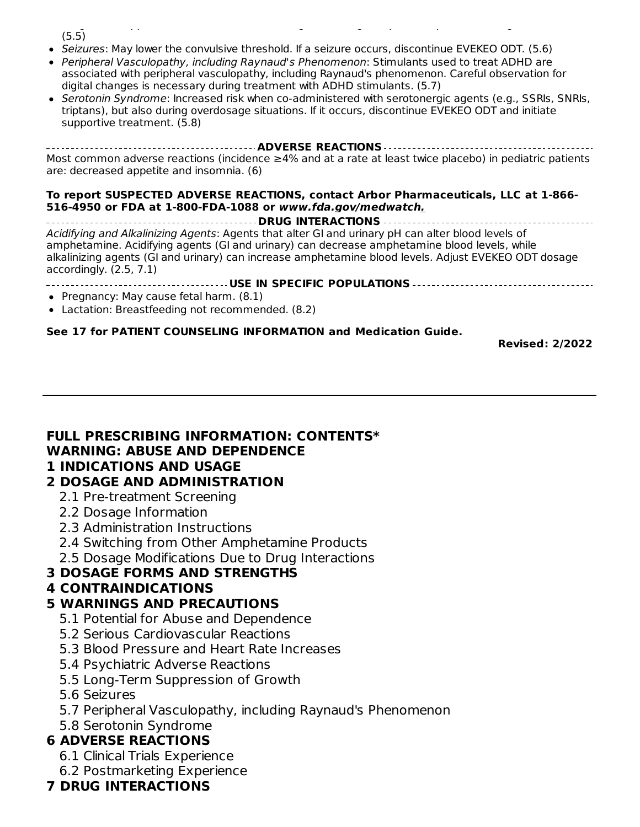Long-term Suppression of Growth: Monitor height and weight in pediatric patients during treatment.  $(5.5)$ 

- Seizures: May lower the convulsive threshold. If a seizure occurs, discontinue EVEKEO ODT. (5.6)
- Peripheral Vasculopathy, including Raynaud's Phenomenon: Stimulants used to treat ADHD are associated with peripheral vasculopathy, including Raynaud's phenomenon. Careful observation for digital changes is necessary during treatment with ADHD stimulants. (5.7)
- Serotonin Syndrome: Increased risk when co-administered with serotonergic agents (e.g., SSRIs, SNRIs, triptans), but also during overdosage situations. If it occurs, discontinue EVEKEO ODT and initiate supportive treatment. (5.8)

**ADVERSE REACTIONS** Most common adverse reactions (incidence ≥4% and at a rate at least twice placebo) in pediatric patients are: decreased appetite and insomnia. (6)

#### **To report SUSPECTED ADVERSE REACTIONS, contact Arbor Pharmaceuticals, LLC at 1-866- 516-4950 or FDA at 1-800-FDA-1088 or www.fda.gov/medwatch.**

**DRUG INTERACTIONS** Acidifying and Alkalinizing Agents: Agents that alter GI and urinary pH can alter blood levels of amphetamine. Acidifying agents (GI and urinary) can decrease amphetamine blood levels, while alkalinizing agents (GI and urinary) can increase amphetamine blood levels. Adjust EVEKEO ODT dosage accordingly. (2.5, 7.1)

#### **USE IN SPECIFIC POPULATIONS**

- Pregnancy: May cause fetal harm.  $(8.1)$
- Lactation: Breastfeeding not recommended. (8.2)

#### **See 17 for PATIENT COUNSELING INFORMATION and Medication Guide.**

**Revised: 2/2022**

#### **FULL PRESCRIBING INFORMATION: CONTENTS\* WARNING: ABUSE AND DEPENDENCE**

#### **1 INDICATIONS AND USAGE**

#### **2 DOSAGE AND ADMINISTRATION**

- 2.1 Pre-treatment Screening
- 2.2 Dosage Information
- 2.3 Administration Instructions
- 2.4 Switching from Other Amphetamine Products
- 2.5 Dosage Modifications Due to Drug Interactions

#### **3 DOSAGE FORMS AND STRENGTHS**

#### **4 CONTRAINDICATIONS**

#### **5 WARNINGS AND PRECAUTIONS**

- 5.1 Potential for Abuse and Dependence
- 5.2 Serious Cardiovascular Reactions
- 5.3 Blood Pressure and Heart Rate Increases
- 5.4 Psychiatric Adverse Reactions
- 5.5 Long-Term Suppression of Growth
- 5.6 Seizures
- 5.7 Peripheral Vasculopathy, including Raynaud's Phenomenon
- 5.8 Serotonin Syndrome

#### **6 ADVERSE REACTIONS**

- 6.1 Clinical Trials Experience
- 6.2 Postmarketing Experience

#### **7 DRUG INTERACTIONS**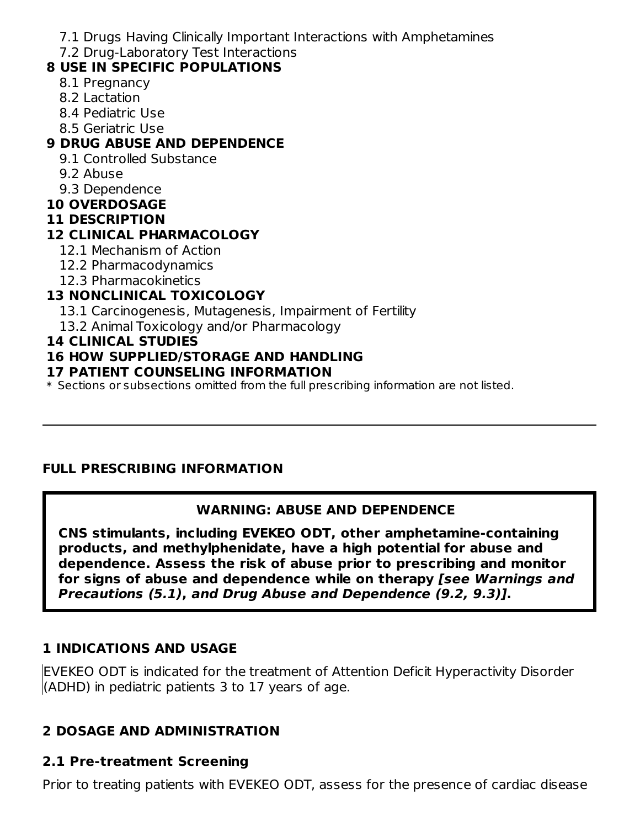- 7.1 Drugs Having Clinically Important Interactions with Amphetamines
- 7.2 Drug-Laboratory Test Interactions

## **8 USE IN SPECIFIC POPULATIONS**

- 8.1 Pregnancy
- 8.2 Lactation
- 8.4 Pediatric Use
- 8.5 Geriatric Use

## **9 DRUG ABUSE AND DEPENDENCE**

- 9.1 Controlled Substance
- 9.2 Abuse
- 9.3 Dependence
- **10 OVERDOSAGE**

#### **11 DESCRIPTION**

## **12 CLINICAL PHARMACOLOGY**

- 12.1 Mechanism of Action
- 12.2 Pharmacodynamics
- 12.3 Pharmacokinetics

# **13 NONCLINICAL TOXICOLOGY**

- 13.1 Carcinogenesis, Mutagenesis, Impairment of Fertility
- 13.2 Animal Toxicology and/or Pharmacology

#### **14 CLINICAL STUDIES**

## **16 HOW SUPPLIED/STORAGE AND HANDLING**

#### **17 PATIENT COUNSELING INFORMATION**

 $\ast$  Sections or subsections omitted from the full prescribing information are not listed.

## **FULL PRESCRIBING INFORMATION**

## **WARNING: ABUSE AND DEPENDENCE**

**CNS stimulants, including EVEKEO ODT, other amphetamine-containing products, and methylphenidate, have a high potential for abuse and dependence. Assess the risk of abuse prior to prescribing and monitor for signs of abuse and dependence while on therapy [see Warnings and Precautions (5.1), and Drug Abuse and Dependence (9.2, 9.3)].**

## **1 INDICATIONS AND USAGE**

EVEKEO ODT is indicated for the treatment of Attention Deficit Hyperactivity Disorder (ADHD) in pediatric patients 3 to 17 years of age.

## **2 DOSAGE AND ADMINISTRATION**

## **2.1 Pre-treatment Screening**

Prior to treating patients with EVEKEO ODT, assess for the presence of cardiac disease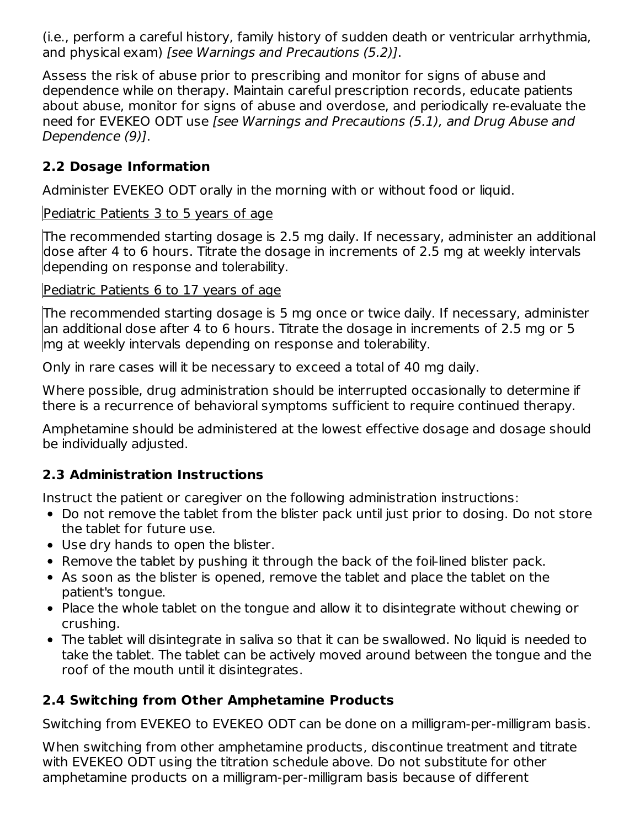(i.e., perform a careful history, family history of sudden death or ventricular arrhythmia, and physical exam) [see Warnings and Precautions (5.2)].

Assess the risk of abuse prior to prescribing and monitor for signs of abuse and dependence while on therapy. Maintain careful prescription records, educate patients about abuse, monitor for signs of abuse and overdose, and periodically re-evaluate the need for EVEKEO ODT use [see Warnings and Precautions (5.1), and Drug Abuse and Dependence (9)].

## **2.2 Dosage Information**

Administer EVEKEO ODT orally in the morning with or without food or liquid.

#### Pediatric Patients 3 to 5 years of age

The recommended starting dosage is 2.5 mg daily. If necessary, administer an additional dose after 4 to 6 hours. Titrate the dosage in increments of 2.5 mg at weekly intervals depending on response and tolerability.

#### Pediatric Patients 6 to 17 years of age

The recommended starting dosage is 5 mg once or twice daily. If necessary, administer an additional dose after 4 to 6 hours. Titrate the dosage in increments of 2.5 mg or 5 mg at weekly intervals depending on response and tolerability.

Only in rare cases will it be necessary to exceed a total of 40 mg daily.

Where possible, drug administration should be interrupted occasionally to determine if there is a recurrence of behavioral symptoms sufficient to require continued therapy.

Amphetamine should be administered at the lowest effective dosage and dosage should be individually adjusted.

## **2.3 Administration Instructions**

Instruct the patient or caregiver on the following administration instructions:

- Do not remove the tablet from the blister pack until just prior to dosing. Do not store the tablet for future use.
- Use dry hands to open the blister.
- Remove the tablet by pushing it through the back of the foil-lined blister pack.
- As soon as the blister is opened, remove the tablet and place the tablet on the patient's tongue.
- Place the whole tablet on the tongue and allow it to disintegrate without chewing or crushing.
- The tablet will disintegrate in saliva so that it can be swallowed. No liquid is needed to take the tablet. The tablet can be actively moved around between the tongue and the roof of the mouth until it disintegrates.

# **2.4 Switching from Other Amphetamine Products**

Switching from EVEKEO to EVEKEO ODT can be done on a milligram-per-milligram basis.

When switching from other amphetamine products, discontinue treatment and titrate with EVEKEO ODT using the titration schedule above. Do not substitute for other amphetamine products on a milligram-per-milligram basis because of different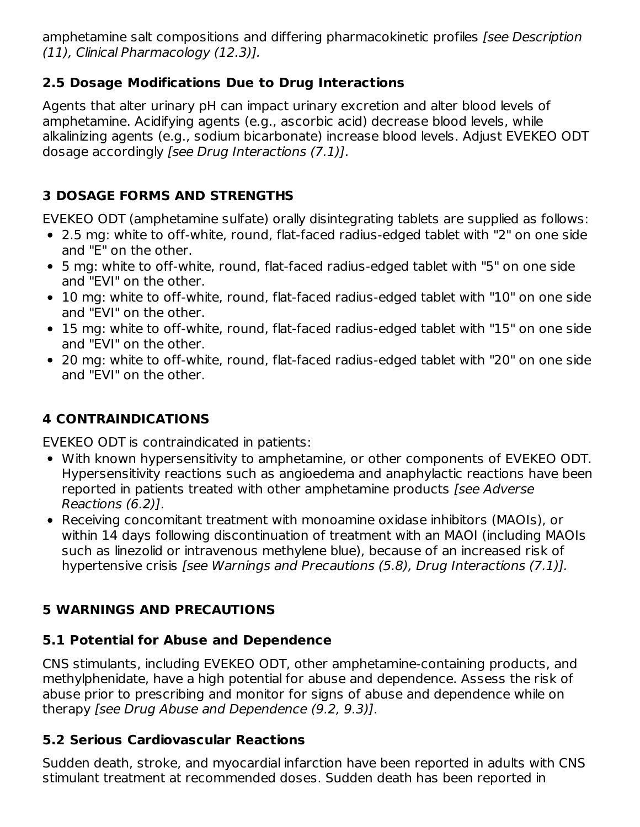amphetamine salt compositions and differing pharmacokinetic profiles (see Description (11), Clinical Pharmacology (12.3)].

## **2.5 Dosage Modifications Due to Drug Interactions**

Agents that alter urinary pH can impact urinary excretion and alter blood levels of amphetamine. Acidifying agents (e.g., ascorbic acid) decrease blood levels, while alkalinizing agents (e.g., sodium bicarbonate) increase blood levels. Adjust EVEKEO ODT dosage accordingly [see Drug Interactions (7.1)].

## **3 DOSAGE FORMS AND STRENGTHS**

EVEKEO ODT (amphetamine sulfate) orally disintegrating tablets are supplied as follows:

- 2.5 mg: white to off-white, round, flat-faced radius-edged tablet with "2" on one side and "E" on the other.
- 5 mg: white to off-white, round, flat-faced radius-edged tablet with "5" on one side and "EVI" on the other.
- 10 mg: white to off-white, round, flat-faced radius-edged tablet with "10" on one side and "EVI" on the other.
- 15 mg: white to off-white, round, flat-faced radius-edged tablet with "15" on one side and "EVI" on the other.
- 20 mg: white to off-white, round, flat-faced radius-edged tablet with "20" on one side and "EVI" on the other.

# **4 CONTRAINDICATIONS**

EVEKEO ODT is contraindicated in patients:

- With known hypersensitivity to amphetamine, or other components of EVEKEO ODT. Hypersensitivity reactions such as angioedema and anaphylactic reactions have been reported in patients treated with other amphetamine products [see Adverse Reactions (6.2)].
- Receiving concomitant treatment with monoamine oxidase inhibitors (MAOIs), or within 14 days following discontinuation of treatment with an MAOI (including MAOIs such as linezolid or intravenous methylene blue), because of an increased risk of hypertensive crisis [see Warnings and Precautions (5.8), Drug Interactions (7.1)].

## **5 WARNINGS AND PRECAUTIONS**

## **5.1 Potential for Abuse and Dependence**

CNS stimulants, including EVEKEO ODT, other amphetamine-containing products, and methylphenidate, have a high potential for abuse and dependence. Assess the risk of abuse prior to prescribing and monitor for signs of abuse and dependence while on therapy [see Drug Abuse and Dependence (9.2, 9.3)].

## **5.2 Serious Cardiovascular Reactions**

Sudden death, stroke, and myocardial infarction have been reported in adults with CNS stimulant treatment at recommended doses. Sudden death has been reported in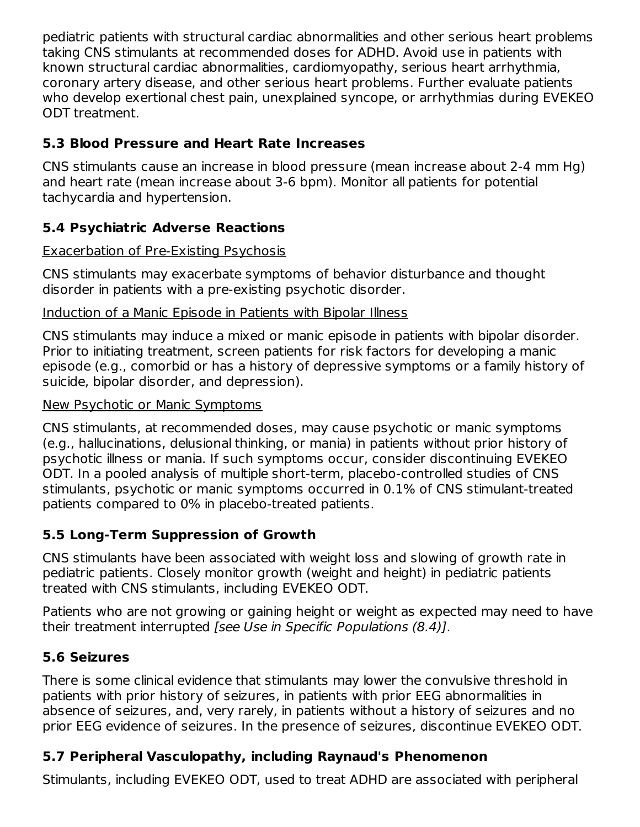pediatric patients with structural cardiac abnormalities and other serious heart problems taking CNS stimulants at recommended doses for ADHD. Avoid use in patients with known structural cardiac abnormalities, cardiomyopathy, serious heart arrhythmia, coronary artery disease, and other serious heart problems. Further evaluate patients who develop exertional chest pain, unexplained syncope, or arrhythmias during EVEKEO ODT treatment.

## **5.3 Blood Pressure and Heart Rate Increases**

CNS stimulants cause an increase in blood pressure (mean increase about 2-4 mm Hg) and heart rate (mean increase about 3-6 bpm). Monitor all patients for potential tachycardia and hypertension.

## **5.4 Psychiatric Adverse Reactions**

#### Exacerbation of Pre-Existing Psychosis

CNS stimulants may exacerbate symptoms of behavior disturbance and thought disorder in patients with a pre-existing psychotic disorder.

#### Induction of a Manic Episode in Patients with Bipolar Illness

CNS stimulants may induce a mixed or manic episode in patients with bipolar disorder. Prior to initiating treatment, screen patients for risk factors for developing a manic episode (e.g., comorbid or has a history of depressive symptoms or a family history of suicide, bipolar disorder, and depression).

#### New Psychotic or Manic Symptoms

CNS stimulants, at recommended doses, may cause psychotic or manic symptoms (e.g., hallucinations, delusional thinking, or mania) in patients without prior history of psychotic illness or mania. If such symptoms occur, consider discontinuing EVEKEO ODT. In a pooled analysis of multiple short-term, placebo-controlled studies of CNS stimulants, psychotic or manic symptoms occurred in 0.1% of CNS stimulant-treated patients compared to 0% in placebo-treated patients.

## **5.5 Long-Term Suppression of Growth**

CNS stimulants have been associated with weight loss and slowing of growth rate in pediatric patients. Closely monitor growth (weight and height) in pediatric patients treated with CNS stimulants, including EVEKEO ODT.

Patients who are not growing or gaining height or weight as expected may need to have their treatment interrupted [see Use in Specific Populations (8.4)].

## **5.6 Seizures**

There is some clinical evidence that stimulants may lower the convulsive threshold in patients with prior history of seizures, in patients with prior EEG abnormalities in absence of seizures, and, very rarely, in patients without a history of seizures and no prior EEG evidence of seizures. In the presence of seizures, discontinue EVEKEO ODT.

## **5.7 Peripheral Vasculopathy, including Raynaud's Phenomenon**

Stimulants, including EVEKEO ODT, used to treat ADHD are associated with peripheral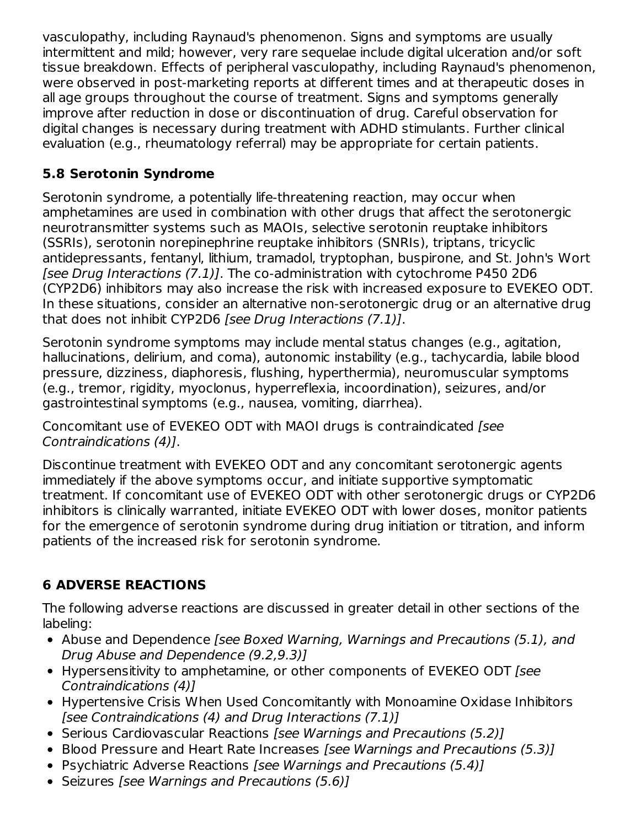vasculopathy, including Raynaud's phenomenon. Signs and symptoms are usually intermittent and mild; however, very rare sequelae include digital ulceration and/or soft tissue breakdown. Effects of peripheral vasculopathy, including Raynaud's phenomenon, were observed in post-marketing reports at different times and at therapeutic doses in all age groups throughout the course of treatment. Signs and symptoms generally improve after reduction in dose or discontinuation of drug. Careful observation for digital changes is necessary during treatment with ADHD stimulants. Further clinical evaluation (e.g., rheumatology referral) may be appropriate for certain patients.

# **5.8 Serotonin Syndrome**

Serotonin syndrome, a potentially life-threatening reaction, may occur when amphetamines are used in combination with other drugs that affect the serotonergic neurotransmitter systems such as MAOIs, selective serotonin reuptake inhibitors (SSRIs), serotonin norepinephrine reuptake inhibitors (SNRIs), triptans, tricyclic antidepressants, fentanyl, lithium, tramadol, tryptophan, buspirone, and St. John's Wort [see Drug Interactions (7.1)]. The co-administration with cytochrome P450 2D6 (CYP2D6) inhibitors may also increase the risk with increased exposure to EVEKEO ODT. In these situations, consider an alternative non-serotonergic drug or an alternative drug that does not inhibit CYP2D6 [see Drug Interactions (7.1)].

Serotonin syndrome symptoms may include mental status changes (e.g., agitation, hallucinations, delirium, and coma), autonomic instability (e.g., tachycardia, labile blood pressure, dizziness, diaphoresis, flushing, hyperthermia), neuromuscular symptoms (e.g., tremor, rigidity, myoclonus, hyperreflexia, incoordination), seizures, and/or gastrointestinal symptoms (e.g., nausea, vomiting, diarrhea).

Concomitant use of EVEKEO ODT with MAOI drugs is contraindicated [see Contraindications (4)].

Discontinue treatment with EVEKEO ODT and any concomitant serotonergic agents immediately if the above symptoms occur, and initiate supportive symptomatic treatment. If concomitant use of EVEKEO ODT with other serotonergic drugs or CYP2D6 inhibitors is clinically warranted, initiate EVEKEO ODT with lower doses, monitor patients for the emergence of serotonin syndrome during drug initiation or titration, and inform patients of the increased risk for serotonin syndrome.

# **6 ADVERSE REACTIONS**

The following adverse reactions are discussed in greater detail in other sections of the labeling:

- Abuse and Dependence [see Boxed Warning, Warnings and Precautions (5.1), and Drug Abuse and Dependence (9.2,9.3)]
- Hypersensitivity to amphetamine, or other components of EVEKEO ODT [see Contraindications (4)]
- Hypertensive Crisis When Used Concomitantly with Monoamine Oxidase Inhibitors [see Contraindications (4) and Drug Interactions (7.1)]
- Serious Cardiovascular Reactions [see Warnings and Precautions (5.2)]
- Blood Pressure and Heart Rate Increases *[see Warnings and Precautions (5.3)]*
- Psychiatric Adverse Reactions [see Warnings and Precautions (5.4)]
- Seizures [see Warnings and Precautions (5.6)]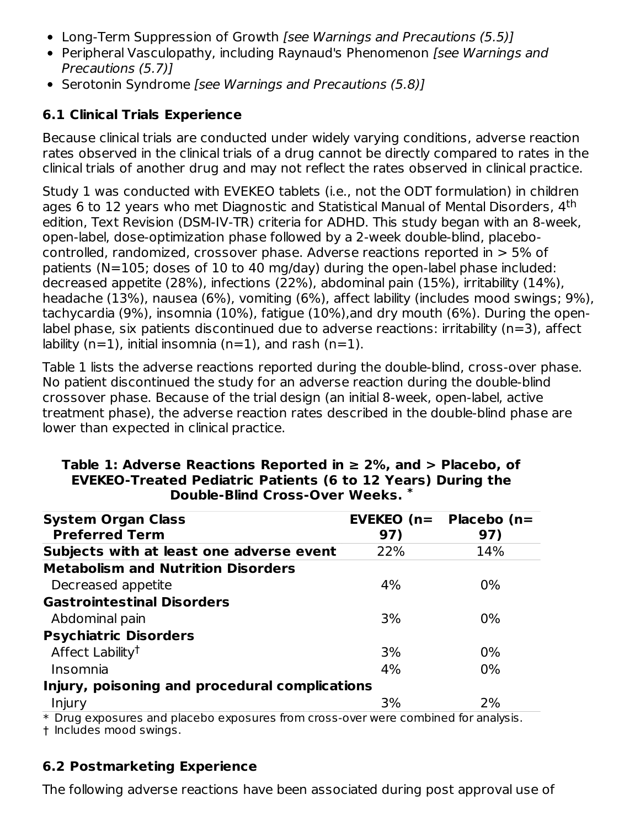- Long-Term Suppression of Growth *[see Warnings and Precautions (5.5)]*
- Peripheral Vasculopathy, including Raynaud's Phenomenon [see Warnings and Precautions (5.7)]
- Serotonin Syndrome [see Warnings and Precautions (5.8)]

# **6.1 Clinical Trials Experience**

Because clinical trials are conducted under widely varying conditions, adverse reaction rates observed in the clinical trials of a drug cannot be directly compared to rates in the clinical trials of another drug and may not reflect the rates observed in clinical practice.

Study 1 was conducted with EVEKEO tablets (i.e., not the ODT formulation) in children ages 6 to 12 years who met Diagnostic and Statistical Manual of Mental Disorders, 4<sup>th</sup> edition, Text Revision (DSM-IV-TR) criteria for ADHD. This study began with an 8-week, open-label, dose-optimization phase followed by a 2-week double-blind, placebocontrolled, randomized, crossover phase. Adverse reactions reported in > 5% of patients (N=105; doses of 10 to 40 mg/day) during the open-label phase included: decreased appetite (28%), infections (22%), abdominal pain (15%), irritability (14%), headache (13%), nausea (6%), vomiting (6%), affect lability (includes mood swings; 9%), tachycardia (9%), insomnia (10%), fatigue (10%),and dry mouth (6%). During the openlabel phase, six patients discontinued due to adverse reactions: irritability (n=3), affect lability (n=1), initial insomnia (n=1), and rash (n=1).

Table 1 lists the adverse reactions reported during the double-blind, cross-over phase. No patient discontinued the study for an adverse reaction during the double-blind crossover phase. Because of the trial design (an initial 8-week, open-label, active treatment phase), the adverse reaction rates described in the double-blind phase are lower than expected in clinical practice.

| <b>System Organ Class</b>                      | $EVEKEO (n=$ | <b>Placebo</b> (n= |
|------------------------------------------------|--------------|--------------------|
| <b>Preferred Term</b>                          | 97)          | 97)                |
| Subjects with at least one adverse event       | 22%          | 14%                |
| <b>Metabolism and Nutrition Disorders</b>      |              |                    |
| Decreased appetite                             | 4%           | $0\%$              |
| <b>Gastrointestinal Disorders</b>              |              |                    |
| Abdominal pain                                 | 3%           | $0\%$              |
| <b>Psychiatric Disorders</b>                   |              |                    |
| Affect Lability <sup>t</sup>                   | 3%           | 0%                 |
| Insomnia                                       | 4%           | $0\%$              |
| Injury, poisoning and procedural complications |              |                    |
| Injury                                         | 3%           | 2%                 |

#### **Table 1: Adverse Reactions Reported in ≥ 2%, and > Placebo, of EVEKEO-Treated Pediatric Patients (6 to 12 Years) During the Double-Blind Cross-Over Weeks. \***

\* Drug exposures and placebo exposures from cross-over were combined for analysis.

† Includes mood swings.

## **6.2 Postmarketing Experience**

The following adverse reactions have been associated during post approval use of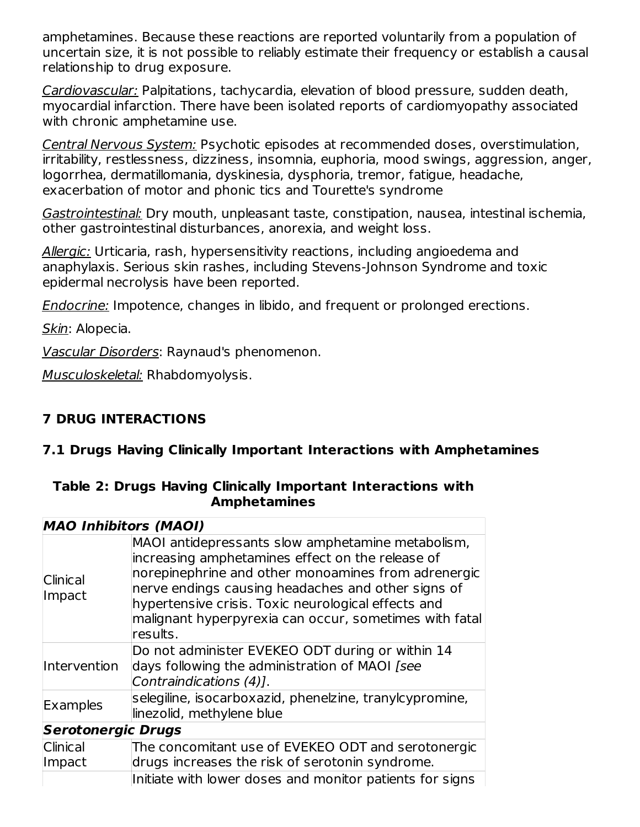amphetamines. Because these reactions are reported voluntarily from a population of uncertain size, it is not possible to reliably estimate their frequency or establish a causal relationship to drug exposure.

Cardiovascular: Palpitations, tachycardia, elevation of blood pressure, sudden death, myocardial infarction. There have been isolated reports of cardiomyopathy associated with chronic amphetamine use.

Central Nervous System: Psychotic episodes at recommended doses, overstimulation, irritability, restlessness, dizziness, insomnia, euphoria, mood swings, aggression, anger, logorrhea, dermatillomania, dyskinesia, dysphoria, tremor, fatigue, headache, exacerbation of motor and phonic tics and Tourette's syndrome

Gastrointestinal: Dry mouth, unpleasant taste, constipation, nausea, intestinal ischemia, other gastrointestinal disturbances, anorexia, and weight loss.

Allergic: Urticaria, rash, hypersensitivity reactions, including angioedema and anaphylaxis. Serious skin rashes, including Stevens-Johnson Syndrome and toxic epidermal necrolysis have been reported.

Endocrine: Impotence, changes in libido, and frequent or prolonged erections.

Skin: Alopecia.

Vascular Disorders: Raynaud's phenomenon.

Musculoskeletal: Rhabdomyolysis.

## **7 DRUG INTERACTIONS**

## **7.1 Drugs Having Clinically Important Interactions with Amphetamines**

|  |                     | Table 2: Drugs Having Clinically Important Interactions with |  |
|--|---------------------|--------------------------------------------------------------|--|
|  | <b>Amphetamines</b> |                                                              |  |

| <b>MAO Inhibitors (MAOI)</b>                                                                                                                                                                                                                                                                                                                    |
|-------------------------------------------------------------------------------------------------------------------------------------------------------------------------------------------------------------------------------------------------------------------------------------------------------------------------------------------------|
| MAOI antidepressants slow amphetamine metabolism,<br>increasing amphetamines effect on the release of<br>norepinephrine and other monoamines from adrenergic<br>nerve endings causing headaches and other signs of<br>hypertensive crisis. Toxic neurological effects and<br>malignant hyperpyrexia can occur, sometimes with fatal<br>results. |
| Do not administer EVEKEO ODT during or within 14<br>days following the administration of MAOI [see<br>Contraindications (4)].                                                                                                                                                                                                                   |
| selegiline, isocarboxazid, phenelzine, tranylcypromine,<br>linezolid, methylene blue                                                                                                                                                                                                                                                            |
| <b>Serotonergic Drugs</b>                                                                                                                                                                                                                                                                                                                       |
| The concomitant use of EVEKEO ODT and serotonergic<br>drugs increases the risk of serotonin syndrome.<br>Initiate with lower doses and monitor patients for signs                                                                                                                                                                               |
|                                                                                                                                                                                                                                                                                                                                                 |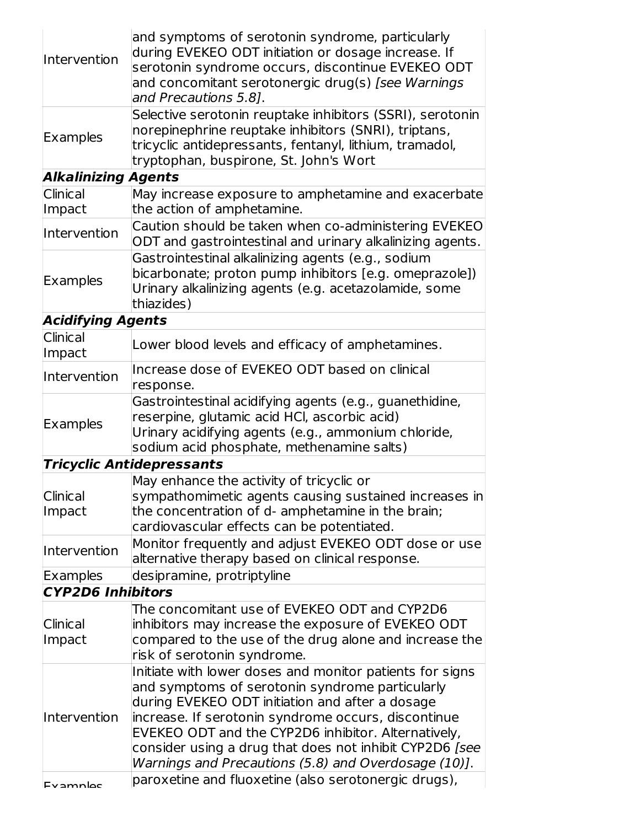| Intervention               | and symptoms of serotonin syndrome, particularly<br>during EVEKEO ODT initiation or dosage increase. If<br>serotonin syndrome occurs, discontinue EVEKEO ODT<br>and concomitant serotonergic drug(s) [see Warnings<br>and Precautions 5.8].                                                                                                                                                                                                             |
|----------------------------|---------------------------------------------------------------------------------------------------------------------------------------------------------------------------------------------------------------------------------------------------------------------------------------------------------------------------------------------------------------------------------------------------------------------------------------------------------|
| Examples                   | Selective serotonin reuptake inhibitors (SSRI), serotonin<br>norepinephrine reuptake inhibitors (SNRI), triptans,<br>tricyclic antidepressants, fentanyl, lithium, tramadol,<br>tryptophan, buspirone, St. John's Wort                                                                                                                                                                                                                                  |
| <b>Alkalinizing Agents</b> |                                                                                                                                                                                                                                                                                                                                                                                                                                                         |
| Clinical                   | May increase exposure to amphetamine and exacerbate                                                                                                                                                                                                                                                                                                                                                                                                     |
| Impact                     | the action of amphetamine.                                                                                                                                                                                                                                                                                                                                                                                                                              |
| Intervention               | Caution should be taken when co-administering EVEKEO<br>ODT and gastrointestinal and urinary alkalinizing agents.                                                                                                                                                                                                                                                                                                                                       |
| <b>Examples</b>            | Gastrointestinal alkalinizing agents (e.g., sodium<br>bicarbonate; proton pump inhibitors [e.g. omeprazole])<br>Urinary alkalinizing agents (e.g. acetazolamide, some<br>thiazides)                                                                                                                                                                                                                                                                     |
| <b>Acidifying Agents</b>   |                                                                                                                                                                                                                                                                                                                                                                                                                                                         |
| Clinical<br>Impact         | Lower blood levels and efficacy of amphetamines.                                                                                                                                                                                                                                                                                                                                                                                                        |
| Intervention               | Increase dose of EVEKEO ODT based on clinical<br>response.                                                                                                                                                                                                                                                                                                                                                                                              |
| Examples                   | Gastrointestinal acidifying agents (e.g., guanethidine,<br>reserpine, glutamic acid HCI, ascorbic acid)<br>Urinary acidifying agents (e.g., ammonium chloride,<br>sodium acid phosphate, methenamine salts)                                                                                                                                                                                                                                             |
|                            | <b>Tricyclic Antidepressants</b>                                                                                                                                                                                                                                                                                                                                                                                                                        |
| <b>Clinical</b><br>Impact  | May enhance the activity of tricyclic or<br>sympathomimetic agents causing sustained increases in<br>the concentration of d- amphetamine in the brain;<br>cardiovascular effects can be potentiated.                                                                                                                                                                                                                                                    |
| <b>Intervention</b>        | Monitor frequently and adjust EVEKEO ODT dose or use<br>alternative therapy based on clinical response.                                                                                                                                                                                                                                                                                                                                                 |
| Examples                   | desipramine, protriptyline                                                                                                                                                                                                                                                                                                                                                                                                                              |
| <b>CYP2D6 Inhibitors</b>   |                                                                                                                                                                                                                                                                                                                                                                                                                                                         |
| Clinical<br>Impact         | The concomitant use of EVEKEO ODT and CYP2D6<br>inhibitors may increase the exposure of EVEKEO ODT<br>compared to the use of the drug alone and increase the<br>risk of serotonin syndrome.                                                                                                                                                                                                                                                             |
| Intervention               | Initiate with lower doses and monitor patients for signs<br>and symptoms of serotonin syndrome particularly<br>during EVEKEO ODT initiation and after a dosage<br>increase. If serotonin syndrome occurs, discontinue<br>EVEKEO ODT and the CYP2D6 inhibitor. Alternatively,<br>consider using a drug that does not inhibit CYP2D6 [see<br>Warnings and Precautions (5.8) and Overdosage (10)].<br>paroxetine and fluoxetine (also serotonergic drugs), |
| Evamples                   |                                                                                                                                                                                                                                                                                                                                                                                                                                                         |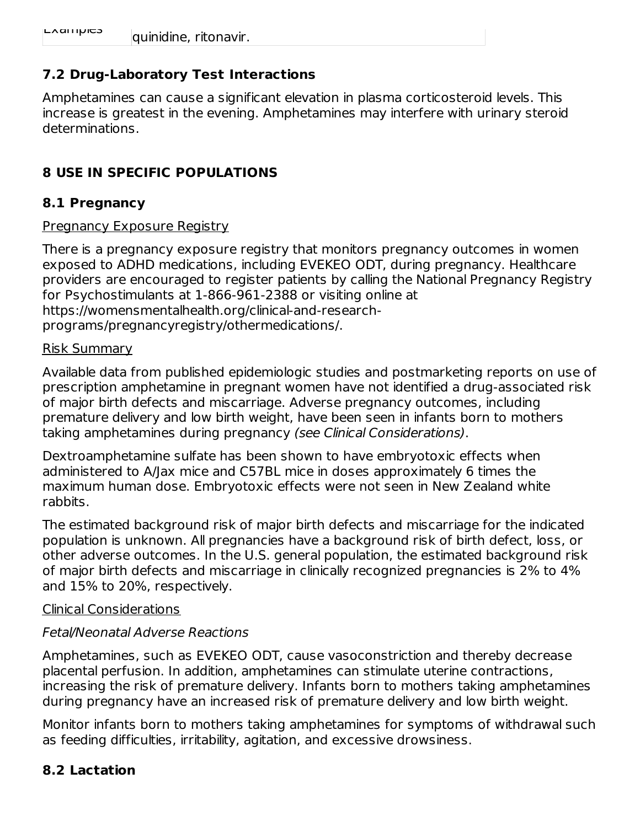## **7.2 Drug-Laboratory Test Interactions**

Amphetamines can cause a significant elevation in plasma corticosteroid levels. This increase is greatest in the evening. Amphetamines may interfere with urinary steroid determinations.

## **8 USE IN SPECIFIC POPULATIONS**

#### **8.1 Pregnancy**

#### **Pregnancy Exposure Registry**

There is a pregnancy exposure registry that monitors pregnancy outcomes in women exposed to ADHD medications, including EVEKEO ODT, during pregnancy. Healthcare providers are encouraged to register patients by calling the National Pregnancy Registry for Psychostimulants at 1-866-961-2388 or visiting online at https://womensmentalhealth.org/clinical-and-researchprograms/pregnancyregistry/othermedications/.

#### Risk Summary

Available data from published epidemiologic studies and postmarketing reports on use of prescription amphetamine in pregnant women have not identified a drug-associated risk of major birth defects and miscarriage. Adverse pregnancy outcomes, including premature delivery and low birth weight, have been seen in infants born to mothers taking amphetamines during pregnancy (see Clinical Considerations).

Dextroamphetamine sulfate has been shown to have embryotoxic effects when administered to A/Jax mice and C57BL mice in doses approximately 6 times the maximum human dose. Embryotoxic effects were not seen in New Zealand white rabbits.

The estimated background risk of major birth defects and miscarriage for the indicated population is unknown. All pregnancies have a background risk of birth defect, loss, or other adverse outcomes. In the U.S. general population, the estimated background risk of major birth defects and miscarriage in clinically recognized pregnancies is 2% to 4% and 15% to 20%, respectively.

#### Clinical Considerations

#### Fetal/Neonatal Adverse Reactions

Amphetamines, such as EVEKEO ODT, cause vasoconstriction and thereby decrease placental perfusion. In addition, amphetamines can stimulate uterine contractions, increasing the risk of premature delivery. Infants born to mothers taking amphetamines during pregnancy have an increased risk of premature delivery and low birth weight.

Monitor infants born to mothers taking amphetamines for symptoms of withdrawal such as feeding difficulties, irritability, agitation, and excessive drowsiness.

## **8.2 Lactation**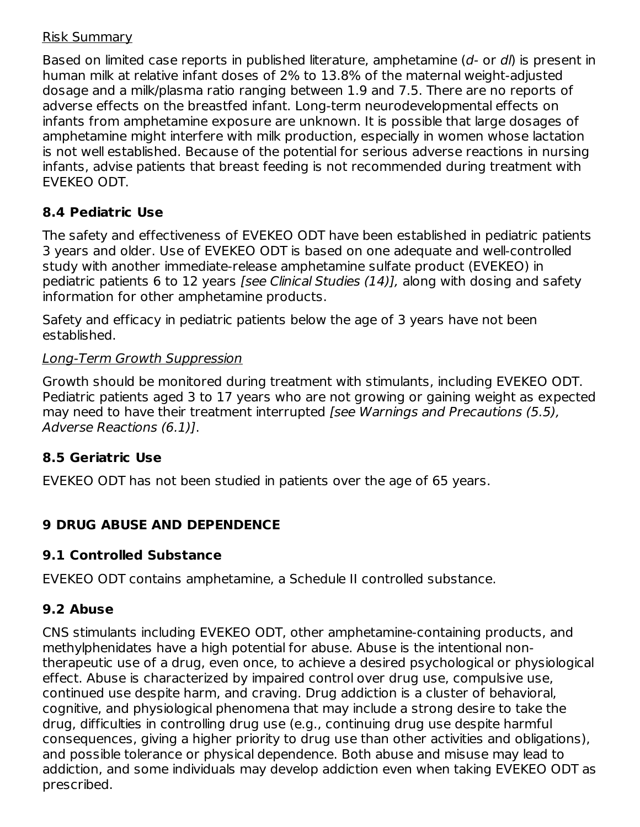#### Risk Summary

Based on limited case reports in published literature, amphetamine (d- or dl) is present in human milk at relative infant doses of 2% to 13.8% of the maternal weight-adjusted dosage and a milk/plasma ratio ranging between 1.9 and 7.5. There are no reports of adverse effects on the breastfed infant. Long-term neurodevelopmental effects on infants from amphetamine exposure are unknown. It is possible that large dosages of amphetamine might interfere with milk production, especially in women whose lactation is not well established. Because of the potential for serious adverse reactions in nursing infants, advise patients that breast feeding is not recommended during treatment with EVEKEO ODT.

## **8.4 Pediatric Use**

The safety and effectiveness of EVEKEO ODT have been established in pediatric patients 3 years and older. Use of EVEKEO ODT is based on one adequate and well-controlled study with another immediate-release amphetamine sulfate product (EVEKEO) in pediatric patients 6 to 12 years [see Clinical Studies (14)], along with dosing and safety information for other amphetamine products.

Safety and efficacy in pediatric patients below the age of 3 years have not been established.

#### Long-Term Growth Suppression

Growth should be monitored during treatment with stimulants, including EVEKEO ODT. Pediatric patients aged 3 to 17 years who are not growing or gaining weight as expected may need to have their treatment interrupted *[see Warnings and Precautions (5.5)*, Adverse Reactions (6.1)].

## **8.5 Geriatric Use**

EVEKEO ODT has not been studied in patients over the age of 65 years.

## **9 DRUG ABUSE AND DEPENDENCE**

#### **9.1 Controlled Substance**

EVEKEO ODT contains amphetamine, a Schedule II controlled substance.

## **9.2 Abuse**

CNS stimulants including EVEKEO ODT, other amphetamine-containing products, and methylphenidates have a high potential for abuse. Abuse is the intentional nontherapeutic use of a drug, even once, to achieve a desired psychological or physiological effect. Abuse is characterized by impaired control over drug use, compulsive use, continued use despite harm, and craving. Drug addiction is a cluster of behavioral, cognitive, and physiological phenomena that may include a strong desire to take the drug, difficulties in controlling drug use (e.g., continuing drug use despite harmful consequences, giving a higher priority to drug use than other activities and obligations), and possible tolerance or physical dependence. Both abuse and misuse may lead to addiction, and some individuals may develop addiction even when taking EVEKEO ODT as prescribed.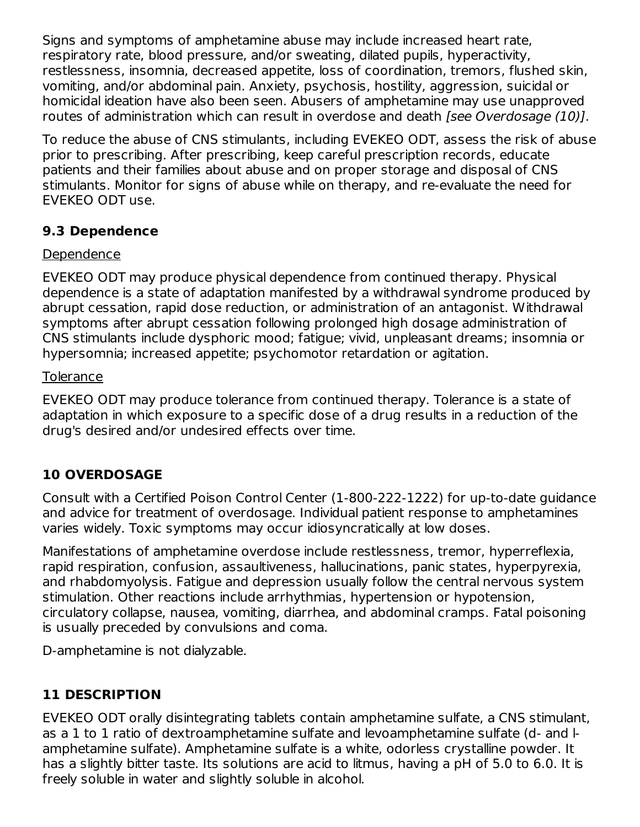Signs and symptoms of amphetamine abuse may include increased heart rate, respiratory rate, blood pressure, and/or sweating, dilated pupils, hyperactivity, restlessness, insomnia, decreased appetite, loss of coordination, tremors, flushed skin, vomiting, and/or abdominal pain. Anxiety, psychosis, hostility, aggression, suicidal or homicidal ideation have also been seen. Abusers of amphetamine may use unapproved routes of administration which can result in overdose and death [see Overdosage (10)].

To reduce the abuse of CNS stimulants, including EVEKEO ODT, assess the risk of abuse prior to prescribing. After prescribing, keep careful prescription records, educate patients and their families about abuse and on proper storage and disposal of CNS stimulants. Monitor for signs of abuse while on therapy, and re-evaluate the need for EVEKEO ODT use.

## **9.3 Dependence**

#### Dependence

EVEKEO ODT may produce physical dependence from continued therapy. Physical dependence is a state of adaptation manifested by a withdrawal syndrome produced by abrupt cessation, rapid dose reduction, or administration of an antagonist. Withdrawal symptoms after abrupt cessation following prolonged high dosage administration of CNS stimulants include dysphoric mood; fatigue; vivid, unpleasant dreams; insomnia or hypersomnia; increased appetite; psychomotor retardation or agitation.

#### **Tolerance**

EVEKEO ODT may produce tolerance from continued therapy. Tolerance is a state of adaptation in which exposure to a specific dose of a drug results in a reduction of the drug's desired and/or undesired effects over time.

## **10 OVERDOSAGE**

Consult with a Certified Poison Control Center (1-800-222-1222) for up-to-date guidance and advice for treatment of overdosage. Individual patient response to amphetamines varies widely. Toxic symptoms may occur idiosyncratically at low doses.

Manifestations of amphetamine overdose include restlessness, tremor, hyperreflexia, rapid respiration, confusion, assaultiveness, hallucinations, panic states, hyperpyrexia, and rhabdomyolysis. Fatigue and depression usually follow the central nervous system stimulation. Other reactions include arrhythmias, hypertension or hypotension, circulatory collapse, nausea, vomiting, diarrhea, and abdominal cramps. Fatal poisoning is usually preceded by convulsions and coma.

D-amphetamine is not dialyzable.

## **11 DESCRIPTION**

EVEKEO ODT orally disintegrating tablets contain amphetamine sulfate, a CNS stimulant, as a 1 to 1 ratio of dextroamphetamine sulfate and levoamphetamine sulfate (d- and lamphetamine sulfate). Amphetamine sulfate is a white, odorless crystalline powder. It has a slightly bitter taste. Its solutions are acid to litmus, having a pH of 5.0 to 6.0. It is freely soluble in water and slightly soluble in alcohol.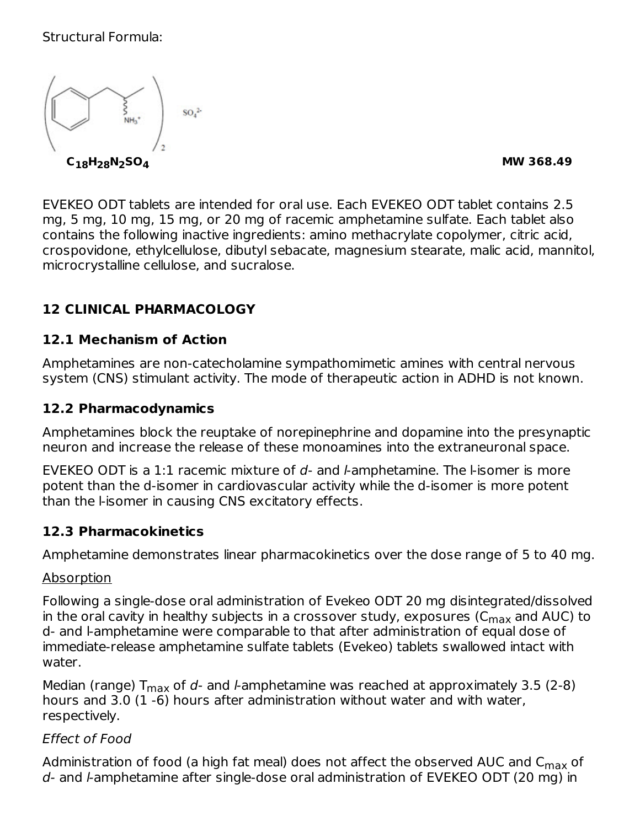#### Structural Formula:



EVEKEO ODT tablets are intended for oral use. Each EVEKEO ODT tablet contains 2.5 mg, 5 mg, 10 mg, 15 mg, or 20 mg of racemic amphetamine sulfate. Each tablet also contains the following inactive ingredients: amino methacrylate copolymer, citric acid, crospovidone, ethylcellulose, dibutyl sebacate, magnesium stearate, malic acid, mannitol, microcrystalline cellulose, and sucralose.

## **12 CLINICAL PHARMACOLOGY**

#### **12.1 Mechanism of Action**

Amphetamines are non-catecholamine sympathomimetic amines with central nervous system (CNS) stimulant activity. The mode of therapeutic action in ADHD is not known.

#### **12.2 Pharmacodynamics**

Amphetamines block the reuptake of norepinephrine and dopamine into the presynaptic neuron and increase the release of these monoamines into the extraneuronal space.

EVEKEO ODT is a 1:1 racemic mixture of  $d$ - and  $l$ -amphetamine. The l-isomer is more potent than the d-isomer in cardiovascular activity while the d-isomer is more potent than the l-isomer in causing CNS excitatory effects.

#### **12.3 Pharmacokinetics**

Amphetamine demonstrates linear pharmacokinetics over the dose range of 5 to 40 mg.

#### Absorption

Following a single-dose oral administration of Evekeo ODT 20 mg disintegrated/dissolved in the oral cavity in healthy subjects in a crossover study, exposures (C $_{\sf max}$  and AUC) to d- and l-amphetamine were comparable to that after administration of equal dose of immediate-release amphetamine sulfate tablets (Evekeo) tablets swallowed intact with water.

Median (range)  $T_{\rm max}$  of  $d$ - and l-amphetamine was reached at approximately 3.5 (2-8) hours and 3.0 (1 -6) hours after administration without water and with water, respectively.

#### Effect of Food

Administration of food (a high fat meal) does not affect the observed AUC and C<sub>max</sub> of d- and l-amphetamine after single-dose oral administration of EVEKEO ODT (20 mg) in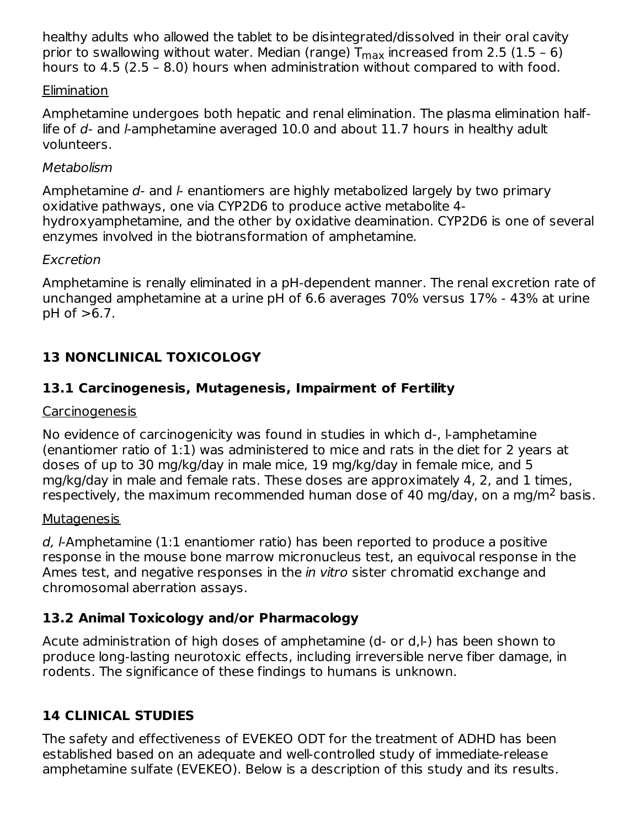healthy adults who allowed the tablet to be disintegrated/dissolved in their oral cavity prior to swallowing without water. Median (range)  $\mathsf{T}_{\mathsf{max}}$  increased from 2.5 (1.5 – 6) hours to 4.5 (2.5 – 8.0) hours when administration without compared to with food.

#### Elimination

Amphetamine undergoes both hepatic and renal elimination. The plasma elimination halflife of  $d$ - and l-amphetamine averaged 10.0 and about 11.7 hours in healthy adult volunteers.

#### **Metabolism**

Amphetamine  $d$ - and  $k$ - enantiomers are highly metabolized largely by two primary oxidative pathways, one via CYP2D6 to produce active metabolite 4 hydroxyamphetamine, and the other by oxidative deamination. CYP2D6 is one of several enzymes involved in the biotransformation of amphetamine.

#### Excretion

Amphetamine is renally eliminated in a pH-dependent manner. The renal excretion rate of unchanged amphetamine at a urine pH of 6.6 averages 70% versus 17% - 43% at urine  $pH$  of  $>6.7$ .

# **13 NONCLINICAL TOXICOLOGY**

## **13.1 Carcinogenesis, Mutagenesis, Impairment of Fertility**

#### Carcinogenesis

No evidence of carcinogenicity was found in studies in which d-, l-amphetamine (enantiomer ratio of 1:1) was administered to mice and rats in the diet for 2 years at doses of up to 30 mg/kg/day in male mice, 19 mg/kg/day in female mice, and 5 mg/kg/day in male and female rats. These doses are approximately 4, 2, and 1 times, respectively, the maximum recommended human dose of 40 mg/day, on a mg/m<sup>2</sup> basis.

#### **Mutagenesis**

d, l-Amphetamine (1:1 enantiomer ratio) has been reported to produce a positive response in the mouse bone marrow micronucleus test, an equivocal response in the Ames test, and negative responses in the *in vitro* sister chromatid exchange and chromosomal aberration assays.

## **13.2 Animal Toxicology and/or Pharmacology**

Acute administration of high doses of amphetamine (d- or d,l-) has been shown to produce long-lasting neurotoxic effects, including irreversible nerve fiber damage, in rodents. The significance of these findings to humans is unknown.

## **14 CLINICAL STUDIES**

The safety and effectiveness of EVEKEO ODT for the treatment of ADHD has been established based on an adequate and well-controlled study of immediate-release amphetamine sulfate (EVEKEO). Below is a description of this study and its results.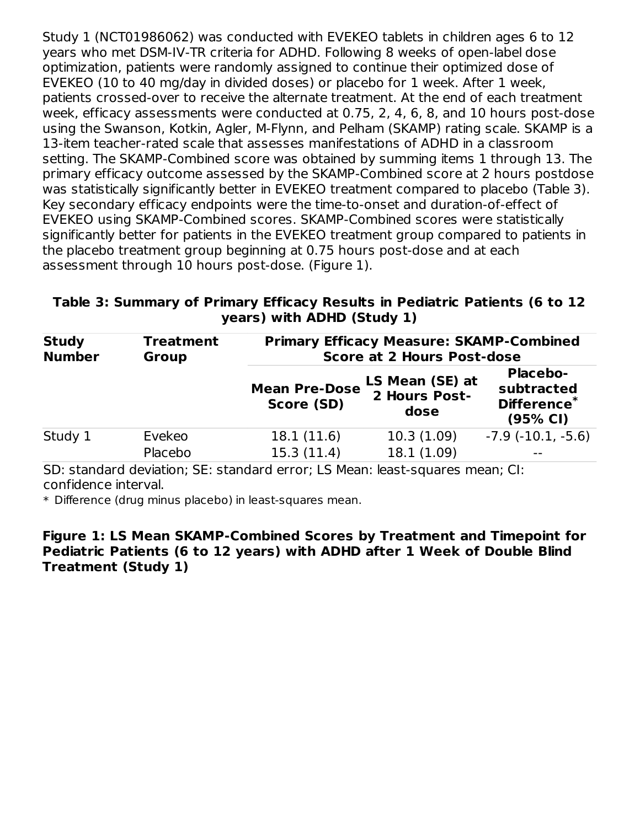Study 1 (NCT01986062) was conducted with EVEKEO tablets in children ages 6 to 12 years who met DSM-IV-TR criteria for ADHD. Following 8 weeks of open-label dose optimization, patients were randomly assigned to continue their optimized dose of EVEKEO (10 to 40 mg/day in divided doses) or placebo for 1 week. After 1 week, patients crossed-over to receive the alternate treatment. At the end of each treatment week, efficacy assessments were conducted at 0.75, 2, 4, 6, 8, and 10 hours post-dose using the Swanson, Kotkin, Agler, M-Flynn, and Pelham (SKAMP) rating scale. SKAMP is a 13-item teacher-rated scale that assesses manifestations of ADHD in a classroom setting. The SKAMP-Combined score was obtained by summing items 1 through 13. The primary efficacy outcome assessed by the SKAMP-Combined score at 2 hours postdose was statistically significantly better in EVEKEO treatment compared to placebo (Table 3). Key secondary efficacy endpoints were the time-to-onset and duration-of-effect of EVEKEO using SKAMP-Combined scores. SKAMP-Combined scores were statistically significantly better for patients in the EVEKEO treatment group compared to patients in the placebo treatment group beginning at 0.75 hours post-dose and at each assessment through 10 hours post-dose. (Figure 1).

**Table 3: Summary of Primary Efficacy Results in Pediatric Patients (6 to 12 years) with ADHD (Study 1)**

| <b>Study</b><br><b>Number</b> | <b>Treatment</b><br><b>Group</b> | <b>Primary Efficacy Measure: SKAMP-Combined</b><br><b>Score at 2 Hours Post-dose</b> |                                          |                                                          |  |  |  |
|-------------------------------|----------------------------------|--------------------------------------------------------------------------------------|------------------------------------------|----------------------------------------------------------|--|--|--|
|                               |                                  | <b>Mean Pre-Dose</b><br>Score (SD)                                                   | LS Mean (SE) at<br>2 Hours Post-<br>dose | <b>Placebo-</b><br>subtracted<br>Difference*<br>(95% CI) |  |  |  |
| Study 1                       | Evekeo                           | 18.1(11.6)                                                                           | 10.3(1.09)                               | $-7.9$ $(-10.1, -5.6)$                                   |  |  |  |
|                               | Placebo                          | 15.3(11.4)                                                                           | 18.1(1.09)                               |                                                          |  |  |  |

SD: standard deviation; SE: standard error; LS Mean: least-squares mean; CI: confidence interval.

\* Difference (drug minus placebo) in least-squares mean.

**Figure 1: LS Mean SKAMP-Combined Scores by Treatment and Timepoint for Pediatric Patients (6 to 12 years) with ADHD after 1 Week of Double Blind Treatment (Study 1)**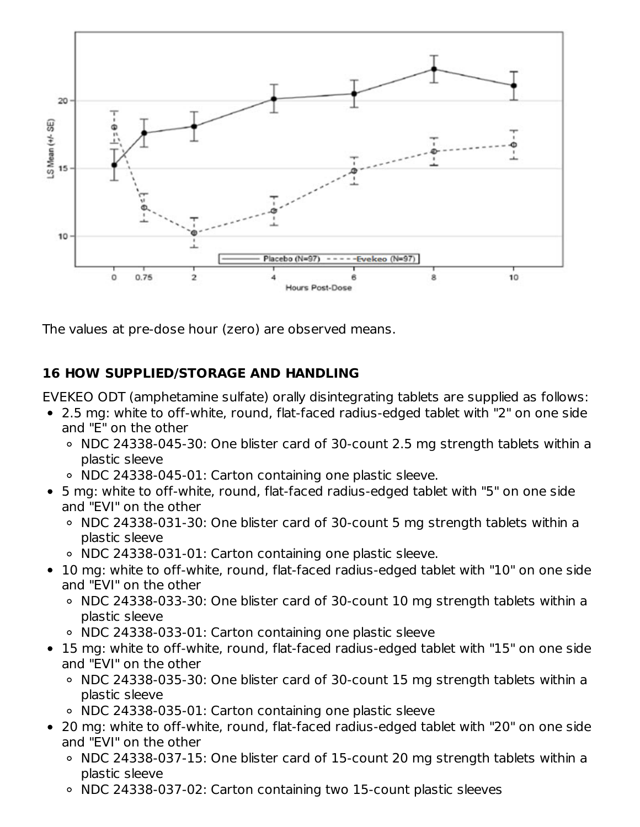

The values at pre-dose hour (zero) are observed means.

## **16 HOW SUPPLIED/STORAGE AND HANDLING**

EVEKEO ODT (amphetamine sulfate) orally disintegrating tablets are supplied as follows:

- 2.5 mg: white to off-white, round, flat-faced radius-edged tablet with "2" on one side and "E" on the other
	- NDC 24338-045-30: One blister card of 30-count 2.5 mg strength tablets within a plastic sleeve
	- NDC 24338-045-01: Carton containing one plastic sleeve.
- 5 mg: white to off-white, round, flat-faced radius-edged tablet with "5" on one side and "EVI" on the other
	- NDC 24338-031-30: One blister card of 30-count 5 mg strength tablets within a plastic sleeve
	- NDC 24338-031-01: Carton containing one plastic sleeve.
- 10 mg: white to off-white, round, flat-faced radius-edged tablet with "10" on one side and "EVI" on the other
	- o NDC 24338-033-30: One blister card of 30-count 10 mg strength tablets within a plastic sleeve
	- NDC 24338-033-01: Carton containing one plastic sleeve
- 15 mg: white to off-white, round, flat-faced radius-edged tablet with "15" on one side and "EVI" on the other
	- NDC 24338-035-30: One blister card of 30-count 15 mg strength tablets within a plastic sleeve
	- NDC 24338-035-01: Carton containing one plastic sleeve
- 20 mg: white to off-white, round, flat-faced radius-edged tablet with "20" on one side and "EVI" on the other
	- NDC 24338-037-15: One blister card of 15-count 20 mg strength tablets within a plastic sleeve
	- NDC 24338-037-02: Carton containing two 15-count plastic sleeves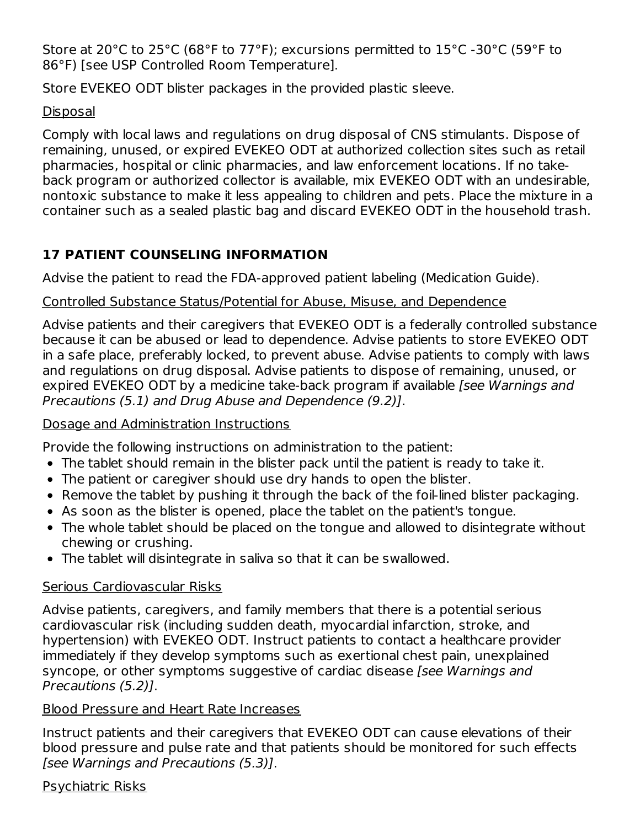Store at 20°C to 25°C (68°F to 77°F); excursions permitted to 15°C -30°C (59°F to 86°F) [see USP Controlled Room Temperature].

Store EVEKEO ODT blister packages in the provided plastic sleeve.

#### Disposal

Comply with local laws and regulations on drug disposal of CNS stimulants. Dispose of remaining, unused, or expired EVEKEO ODT at authorized collection sites such as retail pharmacies, hospital or clinic pharmacies, and law enforcement locations. If no takeback program or authorized collector is available, mix EVEKEO ODT with an undesirable, nontoxic substance to make it less appealing to children and pets. Place the mixture in a container such as a sealed plastic bag and discard EVEKEO ODT in the household trash.

# **17 PATIENT COUNSELING INFORMATION**

Advise the patient to read the FDA-approved patient labeling (Medication Guide).

## Controlled Substance Status/Potential for Abuse, Misuse, and Dependence

Advise patients and their caregivers that EVEKEO ODT is a federally controlled substance because it can be abused or lead to dependence. Advise patients to store EVEKEO ODT in a safe place, preferably locked, to prevent abuse. Advise patients to comply with laws and regulations on drug disposal. Advise patients to dispose of remaining, unused, or expired EVEKEO ODT by a medicine take-back program if available [see Warnings and Precautions (5.1) and Drug Abuse and Dependence (9.2)].

## Dosage and Administration Instructions

Provide the following instructions on administration to the patient:

- The tablet should remain in the blister pack until the patient is ready to take it.
- The patient or caregiver should use dry hands to open the blister.
- Remove the tablet by pushing it through the back of the foil-lined blister packaging.
- As soon as the blister is opened, place the tablet on the patient's tongue.
- The whole tablet should be placed on the tongue and allowed to disintegrate without chewing or crushing.
- The tablet will disintegrate in saliva so that it can be swallowed.

## Serious Cardiovascular Risks

Advise patients, caregivers, and family members that there is a potential serious cardiovascular risk (including sudden death, myocardial infarction, stroke, and hypertension) with EVEKEO ODT. Instruct patients to contact a healthcare provider immediately if they develop symptoms such as exertional chest pain, unexplained syncope, or other symptoms suggestive of cardiac disease [see Warnings and Precautions (5.2)].

## Blood Pressure and Heart Rate Increases

Instruct patients and their caregivers that EVEKEO ODT can cause elevations of their blood pressure and pulse rate and that patients should be monitored for such effects [see Warnings and Precautions (5.3)].

Psychiatric Risks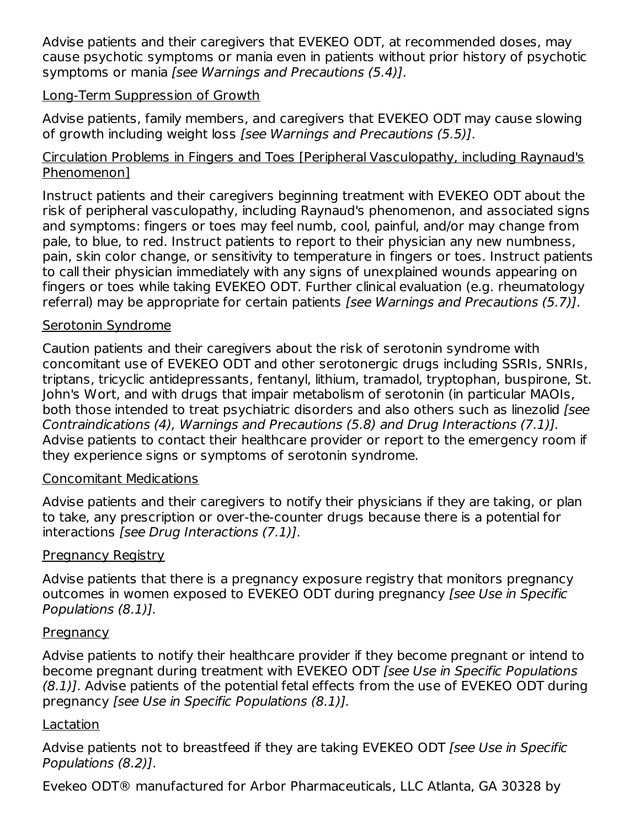Advise patients and their caregivers that EVEKEO ODT, at recommended doses, may cause psychotic symptoms or mania even in patients without prior history of psychotic symptoms or mania [see Warnings and Precautions (5.4)].

#### Long-Term Suppression of Growth

Advise patients, family members, and caregivers that EVEKEO ODT may cause slowing of growth including weight loss [see Warnings and Precautions (5.5)].

#### Circulation Problems in Fingers and Toes [Peripheral Vasculopathy, including Raynaud's Phenomenon]

Instruct patients and their caregivers beginning treatment with EVEKEO ODT about the risk of peripheral vasculopathy, including Raynaud's phenomenon, and associated signs and symptoms: fingers or toes may feel numb, cool, painful, and/or may change from pale, to blue, to red. Instruct patients to report to their physician any new numbness, pain, skin color change, or sensitivity to temperature in fingers or toes. Instruct patients to call their physician immediately with any signs of unexplained wounds appearing on fingers or toes while taking EVEKEO ODT. Further clinical evaluation (e.g. rheumatology referral) may be appropriate for certain patients [see Warnings and Precautions (5.7)].

#### Serotonin Syndrome

Caution patients and their caregivers about the risk of serotonin syndrome with concomitant use of EVEKEO ODT and other serotonergic drugs including SSRIs, SNRIs, triptans, tricyclic antidepressants, fentanyl, lithium, tramadol, tryptophan, buspirone, St. John's Wort, and with drugs that impair metabolism of serotonin (in particular MAOIs, both those intended to treat psychiatric disorders and also others such as linezolid [see Contraindications (4), Warnings and Precautions (5.8) and Drug Interactions (7.1)]. Advise patients to contact their healthcare provider or report to the emergency room if they experience signs or symptoms of serotonin syndrome.

#### Concomitant Medications

Advise patients and their caregivers to notify their physicians if they are taking, or plan to take, any prescription or over-the-counter drugs because there is a potential for interactions [see Drug Interactions (7.1)].

#### Pregnancy Registry

Advise patients that there is a pregnancy exposure registry that monitors pregnancy outcomes in women exposed to EVEKEO ODT during pregnancy (see Use in Specific Populations (8.1)].

#### **Pregnancy**

Advise patients to notify their healthcare provider if they become pregnant or intend to become pregnant during treatment with EVEKEO ODT [see Use in Specific Populations (8.1)]. Advise patients of the potential fetal effects from the use of EVEKEO ODT during pregnancy [see Use in Specific Populations (8.1)].

#### Lactation

Advise patients not to breastfeed if they are taking EVEKEO ODT [see Use in Specific Populations (8.2)].

Evekeo ODT® manufactured for Arbor Pharmaceuticals, LLC Atlanta, GA 30328 by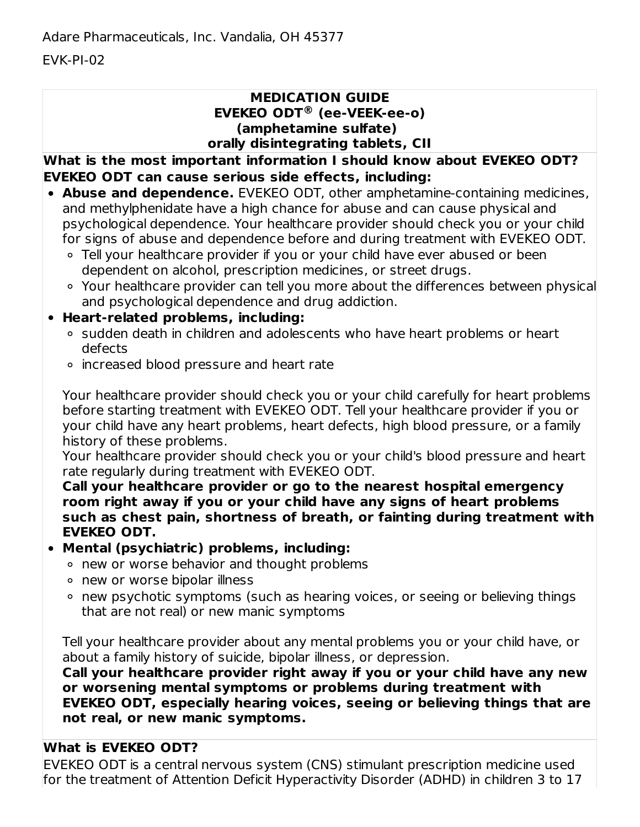EVK-PI-02

#### **MEDICATION GUIDE EVEKEO ODT (ee-VEEK-ee-o) ®(amphetamine sulfate) orally disintegrating tablets, CII**

**What is the most important information I should know about EVEKEO ODT? EVEKEO ODT can cause serious side effects, including:**

- **Abuse and dependence.** EVEKEO ODT, other amphetamine-containing medicines, and methylphenidate have a high chance for abuse and can cause physical and psychological dependence. Your healthcare provider should check you or your child for signs of abuse and dependence before and during treatment with EVEKEO ODT.
	- Tell your healthcare provider if you or your child have ever abused or been dependent on alcohol, prescription medicines, or street drugs.
	- Your healthcare provider can tell you more about the differences between physical and psychological dependence and drug addiction.

## **Heart-related problems, including:**

- o sudden death in children and adolescents who have heart problems or heart defects
- increased blood pressure and heart rate

Your healthcare provider should check you or your child carefully for heart problems before starting treatment with EVEKEO ODT. Tell your healthcare provider if you or your child have any heart problems, heart defects, high blood pressure, or a family history of these problems.

Your healthcare provider should check you or your child's blood pressure and heart rate regularly during treatment with EVEKEO ODT.

**Call your healthcare provider or go to the nearest hospital emergency room right away if you or your child have any signs of heart problems such as chest pain, shortness of breath, or fainting during treatment with EVEKEO ODT.**

## **Mental (psychiatric) problems, including:**

- new or worse behavior and thought problems
- new or worse bipolar illness
- new psychotic symptoms (such as hearing voices, or seeing or believing things that are not real) or new manic symptoms

Tell your healthcare provider about any mental problems you or your child have, or about a family history of suicide, bipolar illness, or depression.

**Call your healthcare provider right away if you or your child have any new or worsening mental symptoms or problems during treatment with EVEKEO ODT, especially hearing voices, seeing or believing things that are not real, or new manic symptoms.**

## **What is EVEKEO ODT?**

EVEKEO ODT is a central nervous system (CNS) stimulant prescription medicine used for the treatment of Attention Deficit Hyperactivity Disorder (ADHD) in children 3 to 17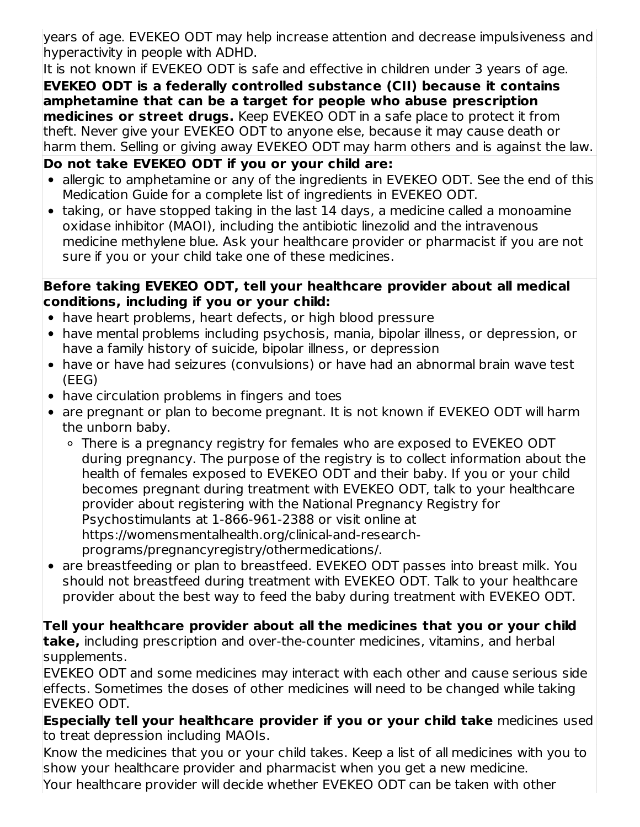years of age. EVEKEO ODT may help increase attention and decrease impulsiveness and hyperactivity in people with ADHD.

It is not known if EVEKEO ODT is safe and effective in children under 3 years of age. **EVEKEO ODT is a federally controlled substance (CII) because it contains amphetamine that can be a target for people who abuse prescription medicines or street drugs.** Keep EVEKEO ODT in a safe place to protect it from theft. Never give your EVEKEO ODT to anyone else, because it may cause death or harm them. Selling or giving away EVEKEO ODT may harm others and is against the law.

## **Do not take EVEKEO ODT if you or your child are:**

- allergic to amphetamine or any of the ingredients in EVEKEO ODT. See the end of this Medication Guide for a complete list of ingredients in EVEKEO ODT.
- taking, or have stopped taking in the last 14 days, a medicine called a monoamine oxidase inhibitor (MAOI), including the antibiotic linezolid and the intravenous medicine methylene blue. Ask your healthcare provider or pharmacist if you are not sure if you or your child take one of these medicines.

#### **Before taking EVEKEO ODT, tell your healthcare provider about all medical conditions, including if you or your child:**

- have heart problems, heart defects, or high blood pressure
- have mental problems including psychosis, mania, bipolar illness, or depression, or have a family history of suicide, bipolar illness, or depression
- have or have had seizures (convulsions) or have had an abnormal brain wave test (EEG)
- have circulation problems in fingers and toes
- are pregnant or plan to become pregnant. It is not known if EVEKEO ODT will harm the unborn baby.
	- There is a pregnancy registry for females who are exposed to EVEKEO ODT during pregnancy. The purpose of the registry is to collect information about the health of females exposed to EVEKEO ODT and their baby. If you or your child becomes pregnant during treatment with EVEKEO ODT, talk to your healthcare provider about registering with the National Pregnancy Registry for Psychostimulants at 1-866-961-2388 or visit online at https://womensmentalhealth.org/clinical-and-researchprograms/pregnancyregistry/othermedications/.
- are breastfeeding or plan to breastfeed. EVEKEO ODT passes into breast milk. You should not breastfeed during treatment with EVEKEO ODT. Talk to your healthcare provider about the best way to feed the baby during treatment with EVEKEO ODT.

**Tell your healthcare provider about all the medicines that you or your child take,** including prescription and over-the-counter medicines, vitamins, and herbal supplements.

EVEKEO ODT and some medicines may interact with each other and cause serious side effects. Sometimes the doses of other medicines will need to be changed while taking EVEKEO ODT.

**Especially tell your healthcare provider if you or your child take** medicines used to treat depression including MAOIs.

Know the medicines that you or your child takes. Keep a list of all medicines with you to show your healthcare provider and pharmacist when you get a new medicine.

Your healthcare provider will decide whether EVEKEO ODT can be taken with other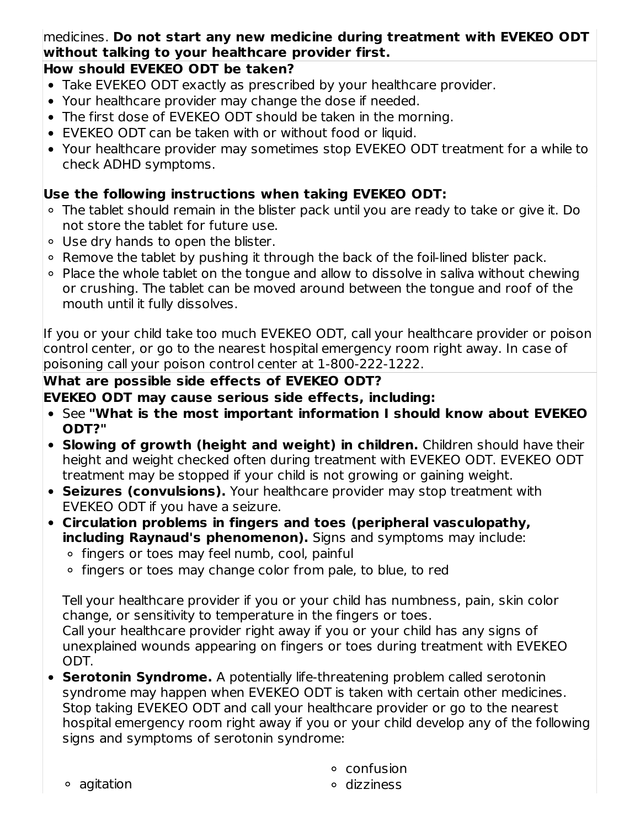## medicines. **Do not start any new medicine during treatment with EVEKEO ODT without talking to your healthcare provider first.**

## **How should EVEKEO ODT be taken?**

- Take EVEKEO ODT exactly as prescribed by your healthcare provider.
- Your healthcare provider may change the dose if needed.
- The first dose of EVEKEO ODT should be taken in the morning.
- EVEKEO ODT can be taken with or without food or liquid.
- Your healthcare provider may sometimes stop EVEKEO ODT treatment for a while to check ADHD symptoms.

## **Use the following instructions when taking EVEKEO ODT:**

- The tablet should remain in the blister pack until you are ready to take or give it. Do not store the tablet for future use.
- Use dry hands to open the blister.
- $\circ$  Remove the tablet by pushing it through the back of the foil-lined blister pack.
- Place the whole tablet on the tongue and allow to dissolve in saliva without chewing or crushing. The tablet can be moved around between the tongue and roof of the mouth until it fully dissolves.

If you or your child take too much EVEKEO ODT, call your healthcare provider or poison control center, or go to the nearest hospital emergency room right away. In case of poisoning call your poison control center at 1-800-222-1222.

## **What are possible side effects of EVEKEO ODT?**

## **EVEKEO ODT may cause serious side effects, including:**

- See **"What is the most important information I should know about EVEKEO ODT?"**
- **Slowing of growth (height and weight) in children.** Children should have their height and weight checked often during treatment with EVEKEO ODT. EVEKEO ODT treatment may be stopped if your child is not growing or gaining weight.
- **Seizures (convulsions).** Your healthcare provider may stop treatment with EVEKEO ODT if you have a seizure.
- **Circulation problems in fingers and toes (peripheral vasculopathy, including Raynaud's phenomenon).** Signs and symptoms may include:
	- o fingers or toes may feel numb, cool, painful
	- ∘ fingers or toes may change color from pale, to blue, to red

Tell your healthcare provider if you or your child has numbness, pain, skin color change, or sensitivity to temperature in the fingers or toes. Call your healthcare provider right away if you or your child has any signs of

- unexplained wounds appearing on fingers or toes during treatment with EVEKEO ODT. **Serotonin Syndrome.** A potentially life-threatening problem called serotonin
- syndrome may happen when EVEKEO ODT is taken with certain other medicines. Stop taking EVEKEO ODT and call your healthcare provider or go to the nearest hospital emergency room right away if you or your child develop any of the following signs and symptoms of serotonin syndrome:
	- confusion

agitation

dizziness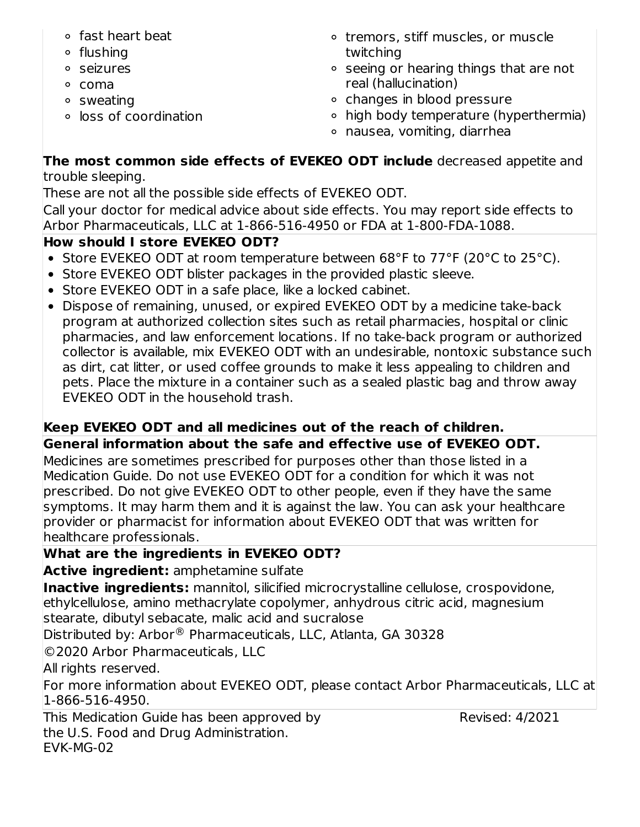- fast heart beat
- flushing
- seizures
- coma
- sweating
- loss of coordination
- o tremors, stiff muscles, or muscle twitching
- seeing or hearing things that are not real (hallucination)
- o changes in blood pressure
- high body temperature (hyperthermia)
- nausea, vomiting, diarrhea

## **The most common side effects of EVEKEO ODT include** decreased appetite and trouble sleeping.

These are not all the possible side effects of EVEKEO ODT.

Call your doctor for medical advice about side effects. You may report side effects to Arbor Pharmaceuticals, LLC at 1-866-516-4950 or FDA at 1-800-FDA-1088.

# **How should I store EVEKEO ODT?**

- Store EVEKEO ODT at room temperature between 68°F to 77°F (20°C to 25°C).
- Store EVEKEO ODT blister packages in the provided plastic sleeve.
- Store EVEKEO ODT in a safe place, like a locked cabinet.
- Dispose of remaining, unused, or expired EVEKEO ODT by a medicine take-back program at authorized collection sites such as retail pharmacies, hospital or clinic pharmacies, and law enforcement locations. If no take-back program or authorized collector is available, mix EVEKEO ODT with an undesirable, nontoxic substance such as dirt, cat litter, or used coffee grounds to make it less appealing to children and pets. Place the mixture in a container such as a sealed plastic bag and throw away EVEKEO ODT in the household trash.

# **Keep EVEKEO ODT and all medicines out of the reach of children.**

**General information about the safe and effective use of EVEKEO ODT.** Medicines are sometimes prescribed for purposes other than those listed in a Medication Guide. Do not use EVEKEO ODT for a condition for which it was not prescribed. Do not give EVEKEO ODT to other people, even if they have the same symptoms. It may harm them and it is against the law. You can ask your healthcare provider or pharmacist for information about EVEKEO ODT that was written for healthcare professionals.

# **What are the ingredients in EVEKEO ODT?**

**Active ingredient:** amphetamine sulfate

**Inactive ingredients:** mannitol, silicified microcrystalline cellulose, crospovidone, ethylcellulose, amino methacrylate copolymer, anhydrous citric acid, magnesium stearate, dibutyl sebacate, malic acid and sucralose

Distributed by: Arbor<sup>®</sup> Pharmaceuticals, LLC, Atlanta, GA 30328

©2020 Arbor Pharmaceuticals, LLC

All rights reserved.

For more information about EVEKEO ODT, please contact Arbor Pharmaceuticals, LLC at 1-866-516-4950.

This Medication Guide has been approved by the U.S. Food and Drug Administration. EVK-MG-02

Revised: 4/2021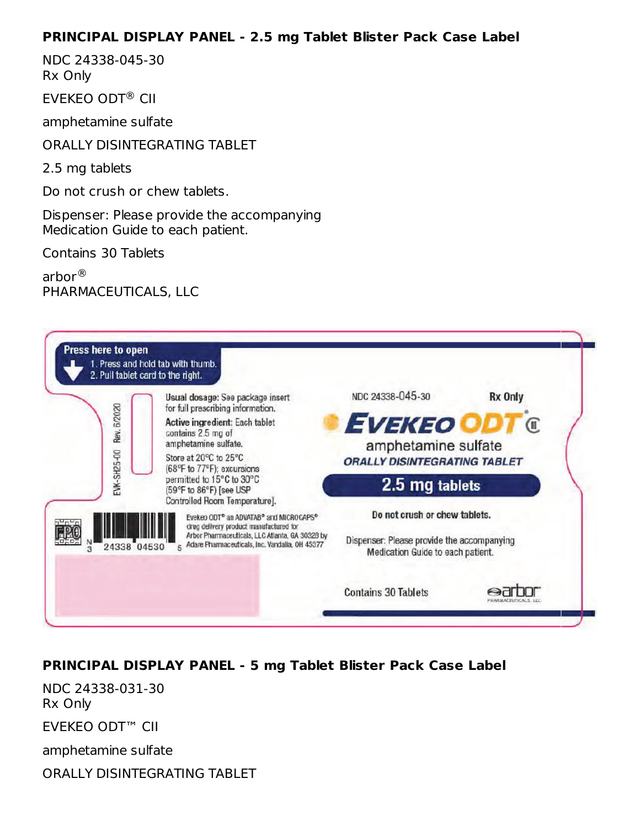#### **PRINCIPAL DISPLAY PANEL - 2.5 mg Tablet Blister Pack Case Label**

NDC 24338-045-30 Rx Only

EVEKEO ODT<sup>®</sup> CII

amphetamine sulfate

ORALLY DISINTEGRATING TABLET

2.5 mg tablets

Do not crush or chew tablets.

Dispenser: Please provide the accompanying Medication Guide to each patient.

Contains 30 Tablets

arbor ®PHARMACEUTICALS, LLC



## **PRINCIPAL DISPLAY PANEL - 5 mg Tablet Blister Pack Case Label**

NDC 24338-031-30 Rx Only

EVEKEO ODT™ CII

amphetamine sulfate

ORALLY DISINTEGRATING TABLET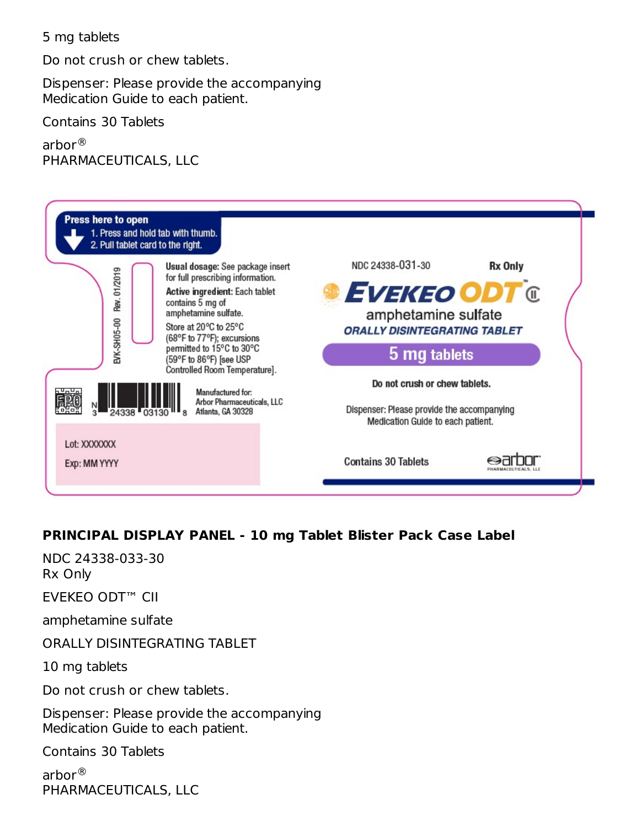#### 5 mg tablets

Do not crush or chew tablets.

Dispenser: Please provide the accompanying Medication Guide to each patient.

Contains 30 Tablets

arbor ® PHARMACEUTICALS, LLC



## **PRINCIPAL DISPLAY PANEL - 10 mg Tablet Blister Pack Case Label**

NDC 24338-033-30 Rx Only

EVEKEO ODT™ CII

amphetamine sulfate

ORALLY DISINTEGRATING TABLET

10 mg tablets

Do not crush or chew tablets.

Dispenser: Please provide the accompanying Medication Guide to each patient.

Contains 30 Tablets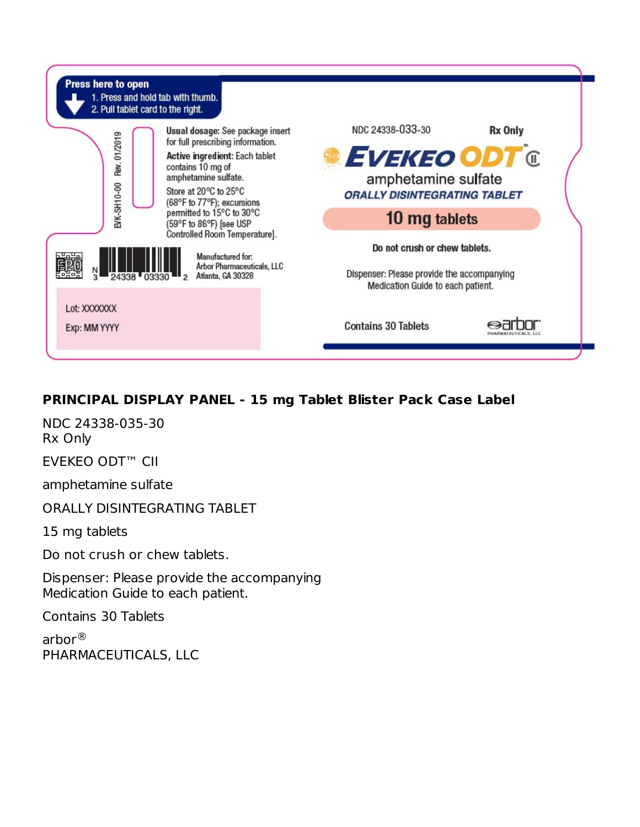

## **PRINCIPAL DISPLAY PANEL - 15 mg Tablet Blister Pack Case Label**

NDC 24338-035-30 Rx Only EVEKEO ODT™ CII

amphetamine sulfate

ORALLY DISINTEGRATING TABLET

15 mg tablets

Do not crush or chew tablets.

Dispenser: Please provide the accompanying Medication Guide to each patient.

Contains 30 Tablets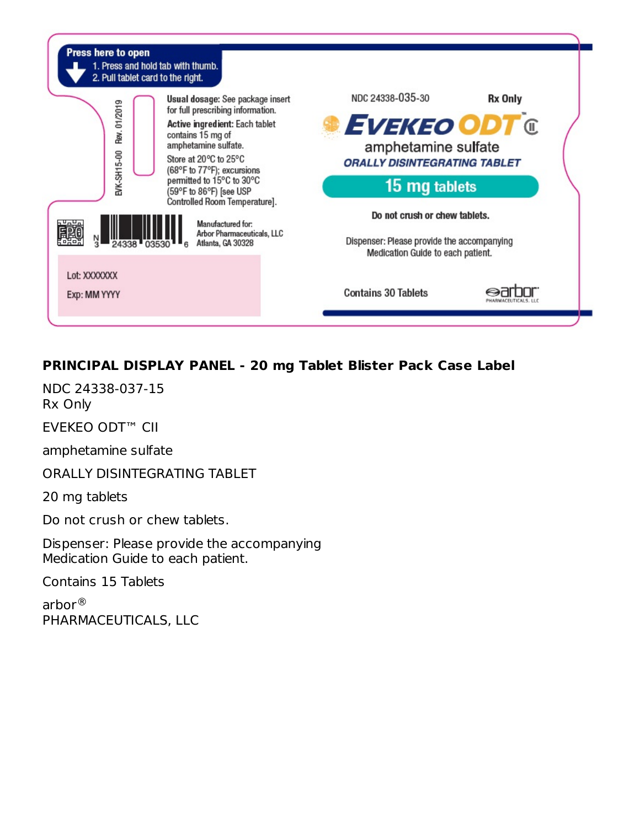

# **PRINCIPAL DISPLAY PANEL - 20 mg Tablet Blister Pack Case Label**

NDC 24338-037-15 Rx Only

EVEKEO ODT™ CII

amphetamine sulfate

ORALLY DISINTEGRATING TABLET

20 mg tablets

Do not crush or chew tablets.

Dispenser: Please provide the accompanying Medication Guide to each patient.

Contains 15 Tablets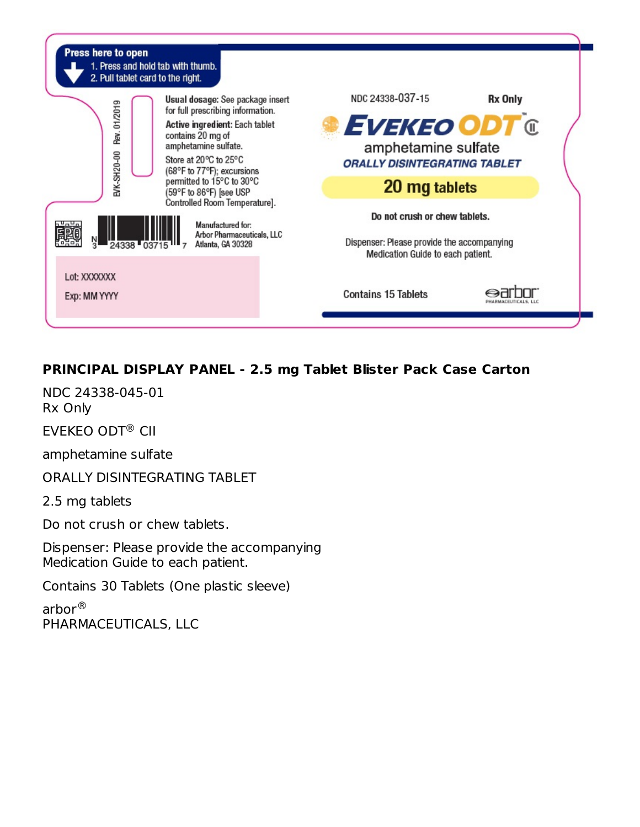

## **PRINCIPAL DISPLAY PANEL - 2.5 mg Tablet Blister Pack Case Carton**

NDC 24338-045-01 Rx Only

EVEKEO ODT<sup>®</sup> CII

amphetamine sulfate

ORALLY DISINTEGRATING TABLET

2.5 mg tablets

Do not crush or chew tablets.

Dispenser: Please provide the accompanying Medication Guide to each patient.

Contains 30 Tablets (One plastic sleeve)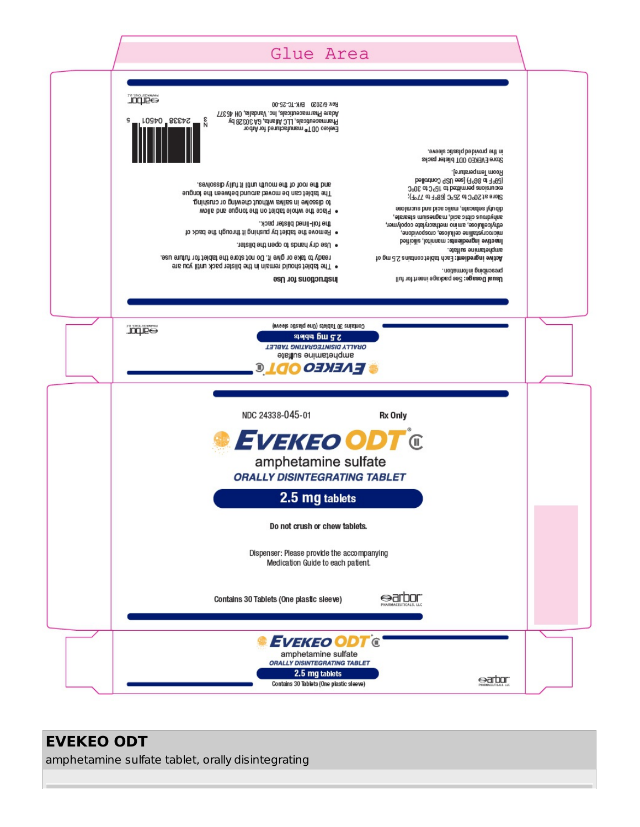#### Glue Area **JOUP®** Rev. 6/2020 B/K-TC-25-00 Adare Pharmaceuticals, Inc. Vandalia, OH 45377 24338 04501 ٤g Pharmaceuticals, LLC Atlanta, GA 30328 by Evekeo 00T<sup>®</sup> manufactured for Arbor in the provided plastic sleeve. Store EVEKEO 0DT blister packs Room Temperature]. Door Terressing and SP 04 150 controlled<br>(599 to 86° F) [see USP Controlled<br>Door Terressing and the roof of the mouth until it fully dssolves. The tablet can be moved around between the torgue Store at 20°C to 25°C (68°F to 77°F); to dissolve in saliva without chewing or crushing. dib utyl sebacate, malic acid and sucralose . Place the whole tablet on the tongue and allow anhydrous citric acid, magnesium stearate, the foil-lined blister pack. ethylcelluloss, amino methacrylate copolymer, . Hemove the tablet by pushing it through the back of microcrystalline celuloss, crospovidone, Inactive ingredients: mannitol, silicified . Use dry hands to open the blister. amphetamine sulfate. ready to take or give it. Do not store the tablet for future use. Active ingredient: Each tablet contains 2.5 mg of . The tablet should remain in the blister pack until you are uodsmotni gnidnasenq. Usual Dosage: See padcage insert for full pustructions for Use Contains 30 Tablets (One plastic sleeve) **JOQJE®** stada pheast ORALLY DISINTEGRATING TABLET anphetamine sulfate » Г*иекео Ор* Ге NDC 24338-045-01 Rx Only *EVEKEO ODT ®* amphetamine sulfate **ORALLY DISINTEGRATING TABLET** 2.5 mg tablets Do not crush or chew tablets. Dispenser: Please provide the accompanying Medication Guide to each patient. Contains 30 Tablets (One plastic sleeve) ⊖arbor EVEKEO ODT  $\mathbf \epsilon$ amphetamine sulfate **ORALLY DISINTEGRATING TABLET** 2.5 mg tablets earbor Contains 30 Tablets (One plastic sleeve)

# **EVEKEO ODT**

amphetamine sulfate tablet, orally disintegrating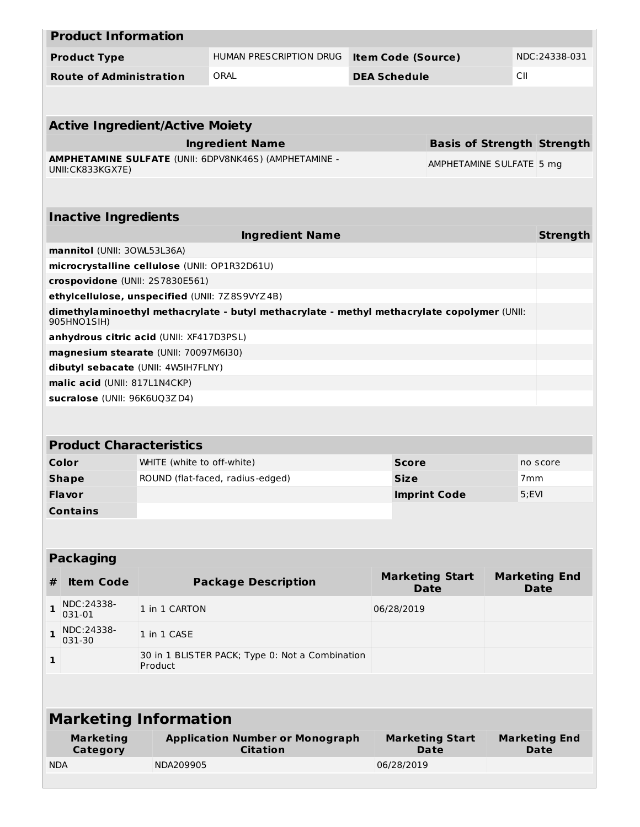|              | <b>Product Information</b>                                                        |                            |                                                                                             |                           |                     |                                       |       |                                     |  |
|--------------|-----------------------------------------------------------------------------------|----------------------------|---------------------------------------------------------------------------------------------|---------------------------|---------------------|---------------------------------------|-------|-------------------------------------|--|
|              | <b>Product Type</b>                                                               |                            | HUMAN PRESCRIPTION DRUG                                                                     | <b>Item Code (Source)</b> | NDC:24338-031       |                                       |       |                                     |  |
|              | <b>Route of Administration</b>                                                    |                            | ORAL                                                                                        |                           | <b>DEA Schedule</b> |                                       |       |                                     |  |
|              |                                                                                   |                            |                                                                                             |                           |                     |                                       |       |                                     |  |
|              |                                                                                   |                            |                                                                                             |                           |                     |                                       |       |                                     |  |
|              | <b>Active Ingredient/Active Moiety</b>                                            |                            |                                                                                             |                           |                     |                                       |       |                                     |  |
|              |                                                                                   |                            | <b>Ingredient Name</b>                                                                      |                           |                     | <b>Basis of Strength Strength</b>     |       |                                     |  |
|              | UNII: CK833KGX7E)                                                                 |                            | AMPHETAMINE SULFATE (UNII: 6DPV8NK46S) (AMPHETAMINE -                                       |                           |                     | AMPHETAMINE SULFATE 5 mg              |       |                                     |  |
|              |                                                                                   |                            |                                                                                             |                           |                     |                                       |       |                                     |  |
|              |                                                                                   |                            |                                                                                             |                           |                     |                                       |       |                                     |  |
|              | <b>Inactive Ingredients</b>                                                       |                            |                                                                                             |                           |                     |                                       |       |                                     |  |
|              |                                                                                   |                            | <b>Ingredient Name</b>                                                                      |                           |                     |                                       |       | <b>Strength</b>                     |  |
|              | mannitol (UNII: 30WL53L36A)                                                       |                            |                                                                                             |                           |                     |                                       |       |                                     |  |
|              | microcrystalline cellulose (UNII: OP1R32D61U)                                     |                            |                                                                                             |                           |                     |                                       |       |                                     |  |
|              | crospovidone (UNII: 2S7830E561)<br>ethylcellulose, unspecified (UNII: 7Z8S9VYZ4B) |                            |                                                                                             |                           |                     |                                       |       |                                     |  |
|              | 905HNO1SIH)                                                                       |                            | dimethylaminoethyl methacrylate - butyl methacrylate - methyl methacrylate copolymer (UNII: |                           |                     |                                       |       |                                     |  |
|              | anhydrous citric acid (UNII: XF417D3PSL)                                          |                            |                                                                                             |                           |                     |                                       |       |                                     |  |
|              | magnesium stearate (UNII: 70097M6I30)                                             |                            |                                                                                             |                           |                     |                                       |       |                                     |  |
|              | dibutyl sebacate (UNII: 4W5IH7FLNY)                                               |                            |                                                                                             |                           |                     |                                       |       |                                     |  |
|              | malic acid (UNII: 817L1N4CKP)                                                     |                            |                                                                                             |                           |                     |                                       |       |                                     |  |
|              | sucralose (UNII: 96K6UQ3ZD4)                                                      |                            |                                                                                             |                           |                     |                                       |       |                                     |  |
|              |                                                                                   |                            |                                                                                             |                           |                     |                                       |       |                                     |  |
|              | <b>Product Characteristics</b>                                                    |                            |                                                                                             |                           |                     |                                       |       |                                     |  |
|              | Color                                                                             | WHITE (white to off-white) |                                                                                             |                           | <b>Score</b>        |                                       |       | no score                            |  |
|              | <b>Shape</b>                                                                      |                            | ROUND (flat-faced, radius-edged)                                                            |                           | <b>Size</b>         |                                       |       | 7 <sub>mm</sub>                     |  |
|              | <b>Flavor</b>                                                                     |                            |                                                                                             |                           |                     | <b>Imprint Code</b>                   | 5;EVI |                                     |  |
|              | <b>Contains</b>                                                                   |                            |                                                                                             |                           |                     |                                       |       |                                     |  |
|              |                                                                                   |                            |                                                                                             |                           |                     |                                       |       |                                     |  |
|              |                                                                                   |                            |                                                                                             |                           |                     |                                       |       |                                     |  |
|              | <b>Packaging</b>                                                                  |                            |                                                                                             |                           |                     |                                       |       |                                     |  |
| #            | <b>Item Code</b>                                                                  |                            | <b>Package Description</b>                                                                  |                           |                     | <b>Marketing Start</b><br><b>Date</b> |       | <b>Marketing End</b><br><b>Date</b> |  |
| 1            | NDC:24338-<br>031-01                                                              | 1 in 1 CARTON              |                                                                                             |                           | 06/28/2019          |                                       |       |                                     |  |
| 1            | NDC:24338-<br>031-30                                                              | 1 in 1 CASE                |                                                                                             |                           |                     |                                       |       |                                     |  |
| $\mathbf{1}$ |                                                                                   | Product                    | 30 in 1 BLISTER PACK; Type 0: Not a Combination                                             |                           |                     |                                       |       |                                     |  |
|              |                                                                                   |                            |                                                                                             |                           |                     |                                       |       |                                     |  |
|              | <b>Marketing Information</b>                                                      |                            |                                                                                             |                           |                     |                                       |       |                                     |  |
|              | <b>Marketing</b><br><b>Category</b>                                               |                            | <b>Application Number or Monograph</b><br><b>Citation</b>                                   |                           |                     | <b>Marketing Start</b><br><b>Date</b> |       | <b>Marketing End</b><br><b>Date</b> |  |
| <b>NDA</b>   |                                                                                   | NDA209905                  |                                                                                             |                           | 06/28/2019          |                                       |       |                                     |  |
|              |                                                                                   |                            |                                                                                             |                           |                     |                                       |       |                                     |  |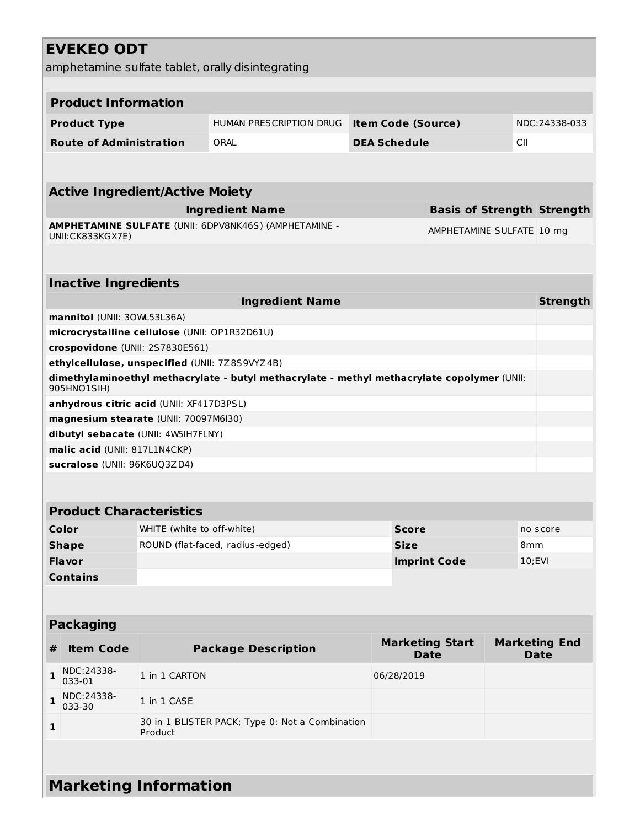|   | <b>EVEKEO ODT</b>                              |                            |                                                                                             |  |                           |                           |     |                                   |  |
|---|------------------------------------------------|----------------------------|---------------------------------------------------------------------------------------------|--|---------------------------|---------------------------|-----|-----------------------------------|--|
|   |                                                |                            | amphetamine sulfate tablet, orally disintegrating                                           |  |                           |                           |     |                                   |  |
|   |                                                |                            |                                                                                             |  |                           |                           |     |                                   |  |
|   | <b>Product Information</b>                     |                            |                                                                                             |  |                           |                           |     |                                   |  |
|   |                                                |                            |                                                                                             |  |                           |                           |     |                                   |  |
|   | <b>Product Type</b>                            |                            | HUMAN PRESCRIPTION DRUG                                                                     |  | <b>Item Code (Source)</b> |                           |     | NDC:24338-033                     |  |
|   | <b>Route of Administration</b>                 |                            | ORAL                                                                                        |  | <b>DEA Schedule</b>       |                           | СII |                                   |  |
|   |                                                |                            |                                                                                             |  |                           |                           |     |                                   |  |
|   |                                                |                            |                                                                                             |  |                           |                           |     |                                   |  |
|   | <b>Active Ingredient/Active Moiety</b>         |                            |                                                                                             |  |                           |                           |     |                                   |  |
|   |                                                |                            | <b>Ingredient Name</b>                                                                      |  |                           |                           |     | <b>Basis of Strength Strength</b> |  |
|   | UNII:CK833KGX7E)                               |                            | AMPHETAMINE SULFATE (UNII: 6DPV8NK46S) (AMPHETAMINE -                                       |  |                           | AMPHETAMINE SULFATE 10 mg |     |                                   |  |
|   |                                                |                            |                                                                                             |  |                           |                           |     |                                   |  |
|   |                                                |                            |                                                                                             |  |                           |                           |     |                                   |  |
|   | <b>Inactive Ingredients</b>                    |                            |                                                                                             |  |                           |                           |     |                                   |  |
|   |                                                |                            | <b>Ingredient Name</b>                                                                      |  |                           |                           |     | <b>Strength</b>                   |  |
|   | mannitol (UNII: 30WL53L36A)                    |                            |                                                                                             |  |                           |                           |     |                                   |  |
|   | microcrystalline cellulose (UNII: OP1R32D61U)  |                            |                                                                                             |  |                           |                           |     |                                   |  |
|   | crospovidone (UNII: 2S7830E561)                |                            |                                                                                             |  |                           |                           |     |                                   |  |
|   | ethylcellulose, unspecified (UNII: 7Z8S9VYZ4B) |                            |                                                                                             |  |                           |                           |     |                                   |  |
|   |                                                |                            | dimethylaminoethyl methacrylate - butyl methacrylate - methyl methacrylate copolymer (UNII: |  |                           |                           |     |                                   |  |
|   | 905HNO1SIH)                                    |                            |                                                                                             |  |                           |                           |     |                                   |  |
|   | anhydrous citric acid (UNII: XF417D3PSL)       |                            |                                                                                             |  |                           |                           |     |                                   |  |
|   | magnesium stearate (UNII: 70097M6I30)          |                            |                                                                                             |  |                           |                           |     |                                   |  |
|   | dibutyl sebacate (UNII: 4W5IH7FLNY)            |                            |                                                                                             |  |                           |                           |     |                                   |  |
|   | malic acid (UNII: 817L1N4CKP)                  |                            |                                                                                             |  |                           |                           |     |                                   |  |
|   | sucralose (UNII: 96K6UQ3ZD4)                   |                            |                                                                                             |  |                           |                           |     |                                   |  |
|   |                                                |                            |                                                                                             |  |                           |                           |     |                                   |  |
|   | <b>Product Characteristics</b>                 |                            |                                                                                             |  |                           |                           |     |                                   |  |
|   | Color                                          | WHITE (white to off-white) |                                                                                             |  | <b>Score</b>              |                           |     | no score                          |  |
|   | <b>Shape</b>                                   |                            | ROUND (flat-faced, radius-edged)                                                            |  | <b>Size</b>               |                           | 8mm |                                   |  |
|   | <b>Flavor</b>                                  |                            |                                                                                             |  |                           | <b>Imprint Code</b>       |     | $10;$ EVI                         |  |
|   | <b>Contains</b>                                |                            |                                                                                             |  |                           |                           |     |                                   |  |
|   |                                                |                            |                                                                                             |  |                           |                           |     |                                   |  |
|   |                                                |                            |                                                                                             |  |                           |                           |     |                                   |  |
|   | <b>Packaging</b>                               |                            |                                                                                             |  |                           |                           |     |                                   |  |
|   |                                                |                            |                                                                                             |  |                           | <b>Marketing Start</b>    |     | <b>Marketing End</b>              |  |
| # | <b>Item Code</b>                               |                            | <b>Package Description</b>                                                                  |  |                           | <b>Date</b>               |     | <b>Date</b>                       |  |
| 1 | NDC:24338-<br>033-01                           | 1 in 1 CARTON              |                                                                                             |  | 06/28/2019                |                           |     |                                   |  |
| 1 | NDC:24338-<br>033-30                           | 1 in 1 CASE                |                                                                                             |  |                           |                           |     |                                   |  |
| 1 |                                                | Product                    | 30 in 1 BLISTER PACK; Type 0: Not a Combination                                             |  |                           |                           |     |                                   |  |
|   |                                                |                            |                                                                                             |  |                           |                           |     |                                   |  |
|   |                                                |                            |                                                                                             |  |                           |                           |     |                                   |  |
|   | <b>Marketing Information</b>                   |                            |                                                                                             |  |                           |                           |     |                                   |  |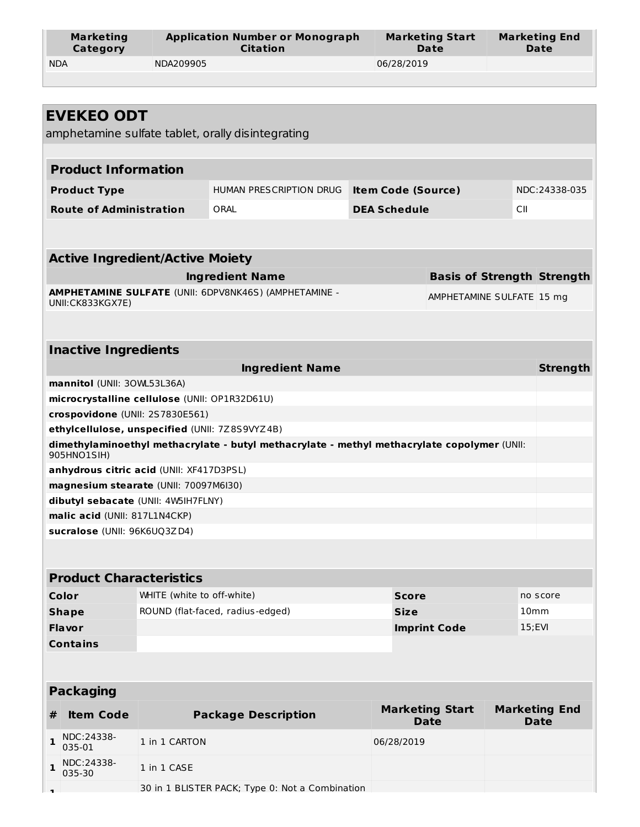| Marketing  | <b>Application Number or Monograph</b> | <b>Marketing Start</b> | <b>Marketing End</b> |  |  |
|------------|----------------------------------------|------------------------|----------------------|--|--|
| Category   | <b>Citation</b>                        | Date                   | Date                 |  |  |
| <b>NDA</b> | NDA209905                              | 06/28/2019             |                      |  |  |

|              | <b>EVEKEO ODT</b>                              |                            |                                                                                             |                           |                                       |                  |                                     |
|--------------|------------------------------------------------|----------------------------|---------------------------------------------------------------------------------------------|---------------------------|---------------------------------------|------------------|-------------------------------------|
|              |                                                |                            | amphetamine sulfate tablet, orally disintegrating                                           |                           |                                       |                  |                                     |
|              |                                                |                            |                                                                                             |                           |                                       |                  |                                     |
|              | <b>Product Information</b>                     |                            |                                                                                             |                           |                                       |                  |                                     |
|              | <b>Product Type</b>                            |                            | HUMAN PRESCRIPTION DRUG                                                                     | <b>Item Code (Source)</b> |                                       |                  | NDC:24338-035                       |
|              | <b>Route of Administration</b>                 |                            | ORAL                                                                                        | <b>DEA Schedule</b>       |                                       | СII              |                                     |
|              |                                                |                            |                                                                                             |                           |                                       |                  |                                     |
|              |                                                |                            |                                                                                             |                           |                                       |                  |                                     |
|              | <b>Active Ingredient/Active Moiety</b>         |                            |                                                                                             |                           |                                       |                  |                                     |
|              |                                                |                            | <b>Ingredient Name</b>                                                                      |                           | <b>Basis of Strength Strength</b>     |                  |                                     |
|              | UNII: CK833KGX7E)                              |                            | <b>AMPHETAMINE SULFATE (UNII: 6DPV8NK46S) (AMPHETAMINE -</b>                                |                           | AMPHETAMINE SULFATE 15 mg             |                  |                                     |
|              |                                                |                            |                                                                                             |                           |                                       |                  |                                     |
|              |                                                |                            |                                                                                             |                           |                                       |                  |                                     |
|              | <b>Inactive Ingredients</b>                    |                            |                                                                                             |                           |                                       |                  |                                     |
|              |                                                |                            | <b>Ingredient Name</b>                                                                      |                           |                                       |                  | <b>Strength</b>                     |
|              | mannitol (UNII: 30WL53L36A)                    |                            |                                                                                             |                           |                                       |                  |                                     |
|              | microcrystalline cellulose (UNII: OP1R32D61U)  |                            |                                                                                             |                           |                                       |                  |                                     |
|              | crospovidone (UNII: 2S7830E561)                |                            |                                                                                             |                           |                                       |                  |                                     |
|              | ethylcellulose, unspecified (UNII: 7Z8S9VYZ4B) |                            |                                                                                             |                           |                                       |                  |                                     |
|              | 905HNO1SIH)                                    |                            | dimethylaminoethyl methacrylate - butyl methacrylate - methyl methacrylate copolymer (UNII: |                           |                                       |                  |                                     |
|              | anhydrous citric acid (UNII: XF417D3PSL)       |                            |                                                                                             |                           |                                       |                  |                                     |
|              | magnesium stearate (UNII: 70097M6I30)          |                            |                                                                                             |                           |                                       |                  |                                     |
|              | dibutyl sebacate (UNII: 4W5IH7FLNY)            |                            |                                                                                             |                           |                                       |                  |                                     |
|              | malic acid (UNII: 817L1N4CKP)                  |                            |                                                                                             |                           |                                       |                  |                                     |
|              | sucralose (UNII: 96K6UQ3ZD4)                   |                            |                                                                                             |                           |                                       |                  |                                     |
|              |                                                |                            |                                                                                             |                           |                                       |                  |                                     |
|              | <b>Product Characteristics</b>                 |                            |                                                                                             |                           |                                       |                  |                                     |
|              | Color                                          | WHITE (white to off-white) |                                                                                             | <b>Score</b>              |                                       |                  | no score                            |
|              | <b>Shape</b>                                   |                            | ROUND (flat-faced, radius-edged)                                                            | <b>Size</b>               |                                       | 10 <sub>mm</sub> |                                     |
|              | <b>Flavor</b>                                  |                            |                                                                                             |                           | <b>Imprint Code</b>                   | $15;$ EVI        |                                     |
|              | <b>Contains</b>                                |                            |                                                                                             |                           |                                       |                  |                                     |
|              |                                                |                            |                                                                                             |                           |                                       |                  |                                     |
|              | <b>Packaging</b>                               |                            |                                                                                             |                           |                                       |                  |                                     |
|              |                                                |                            |                                                                                             |                           |                                       |                  |                                     |
| #            | <b>Item Code</b>                               |                            | <b>Package Description</b>                                                                  |                           | <b>Marketing Start</b><br><b>Date</b> |                  | <b>Marketing End</b><br><b>Date</b> |
| 1            | NDC:24338-<br>035-01                           | 1 in 1 CARTON              |                                                                                             | 06/28/2019                |                                       |                  |                                     |
| $\mathbf{1}$ | NDC:24338-<br>035-30                           | 1 in 1 CASE                |                                                                                             |                           |                                       |                  |                                     |
|              |                                                |                            | 30 in 1 BLISTER PACK; Type 0: Not a Combination                                             |                           |                                       |                  |                                     |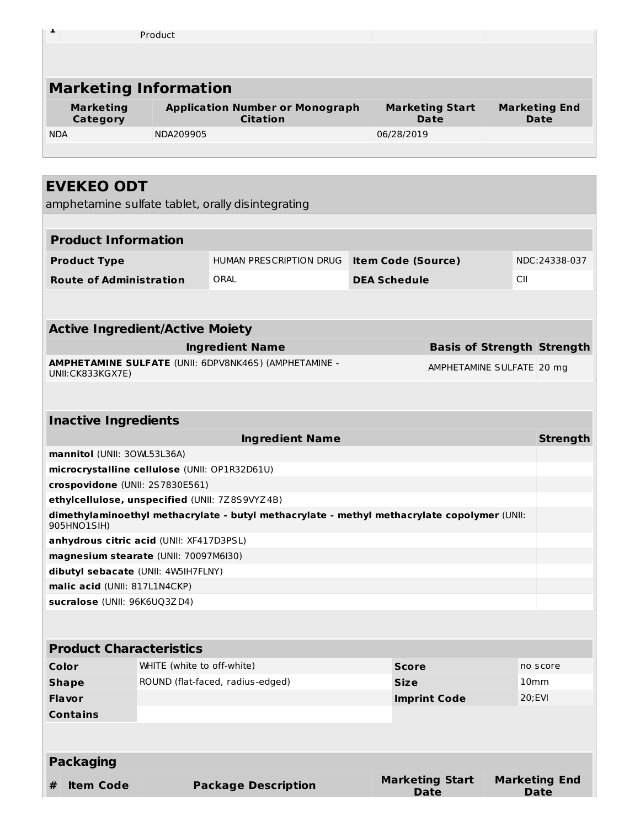| л.                           | Product                                                   |                                       |                                     |  |  |  |  |  |
|------------------------------|-----------------------------------------------------------|---------------------------------------|-------------------------------------|--|--|--|--|--|
|                              |                                                           |                                       |                                     |  |  |  |  |  |
|                              |                                                           |                                       |                                     |  |  |  |  |  |
| <b>Marketing Information</b> |                                                           |                                       |                                     |  |  |  |  |  |
| <b>Marketing</b><br>Category | <b>Application Number or Monograph</b><br><b>Citation</b> | <b>Marketing Start</b><br><b>Date</b> | <b>Marketing End</b><br><b>Date</b> |  |  |  |  |  |
| <b>NDA</b>                   | NDA209905                                                 | 06/28/2019                            |                                     |  |  |  |  |  |
|                              |                                                           |                                       |                                     |  |  |  |  |  |

# **EVEKEO ODT**

amphetamine sulfate tablet, orally disintegrating

|                 |                                |                                               | amphetamine sulfate tablet, orally disintegrating                                           |                     |                                            |                                   |  |        |                      |
|-----------------|--------------------------------|-----------------------------------------------|---------------------------------------------------------------------------------------------|---------------------|--------------------------------------------|-----------------------------------|--|--------|----------------------|
|                 |                                |                                               |                                                                                             |                     |                                            |                                   |  |        |                      |
|                 | <b>Product Information</b>     |                                               |                                                                                             |                     |                                            |                                   |  |        |                      |
|                 | <b>Product Type</b>            |                                               | HUMAN PRESCRIPTION DRUG                                                                     |                     | NDC:24338-037<br><b>Item Code (Source)</b> |                                   |  |        |                      |
|                 | <b>Route of Administration</b> |                                               | ORAL                                                                                        | <b>DEA Schedule</b> |                                            |                                   |  | CII    |                      |
|                 |                                |                                               |                                                                                             |                     |                                            |                                   |  |        |                      |
|                 |                                |                                               |                                                                                             |                     |                                            |                                   |  |        |                      |
|                 |                                | <b>Active Ingredient/Active Moiety</b>        |                                                                                             |                     |                                            |                                   |  |        |                      |
|                 |                                |                                               | <b>Ingredient Name</b>                                                                      |                     |                                            | <b>Basis of Strength Strength</b> |  |        |                      |
|                 | UNII:CK833KGX7E)               |                                               | AMPHETAMINE SULFATE (UNII: 6DPV8NK46S) (AMPHETAMINE -                                       |                     |                                            | AMPHETAMINE SULFATE 20 mg         |  |        |                      |
|                 |                                |                                               |                                                                                             |                     |                                            |                                   |  |        |                      |
|                 |                                |                                               |                                                                                             |                     |                                            |                                   |  |        |                      |
|                 | <b>Inactive Ingredients</b>    |                                               |                                                                                             |                     |                                            |                                   |  |        |                      |
|                 |                                |                                               | <b>Ingredient Name</b>                                                                      |                     |                                            |                                   |  |        | <b>Strength</b>      |
|                 | mannitol (UNII: 30WL53L36A)    |                                               |                                                                                             |                     |                                            |                                   |  |        |                      |
|                 |                                | microcrystalline cellulose (UNII: OP1R32D61U) |                                                                                             |                     |                                            |                                   |  |        |                      |
|                 |                                | crospovidone (UNII: 2S7830E561)               |                                                                                             |                     |                                            |                                   |  |        |                      |
|                 |                                |                                               | ethylcellulose, unspecified (UNII: 7Z8S9VYZ4B)                                              |                     |                                            |                                   |  |        |                      |
| 905HNO1SIH)     |                                |                                               | dimethylaminoethyl methacrylate - butyl methacrylate - methyl methacrylate copolymer (UNII: |                     |                                            |                                   |  |        |                      |
|                 |                                | anhydrous citric acid (UNII: XF417D3PSL)      |                                                                                             |                     |                                            |                                   |  |        |                      |
|                 |                                | magnesium stearate (UNII: 70097M6I30)         |                                                                                             |                     |                                            |                                   |  |        |                      |
|                 |                                | dibutyl sebacate (UNII: 4W5IH7FLNY)           |                                                                                             |                     |                                            |                                   |  |        |                      |
|                 |                                | malic acid (UNII: 817L1N4CKP)                 |                                                                                             |                     |                                            |                                   |  |        |                      |
|                 |                                | sucralose (UNII: 96K6UQ3ZD4)                  |                                                                                             |                     |                                            |                                   |  |        |                      |
|                 |                                |                                               |                                                                                             |                     |                                            |                                   |  |        |                      |
|                 |                                | <b>Product Characteristics</b>                |                                                                                             |                     |                                            |                                   |  |        |                      |
| Color           |                                | WHITE (white to off-white)                    |                                                                                             |                     | <b>Score</b>                               |                                   |  |        | no score             |
| <b>Shape</b>    |                                |                                               | ROUND (flat-faced, radius-edged)                                                            |                     | <b>Size</b>                                |                                   |  | 10mm   |                      |
| <b>Flavor</b>   |                                |                                               |                                                                                             |                     |                                            | <b>Imprint Code</b>               |  | 20;EVI |                      |
| <b>Contains</b> |                                |                                               |                                                                                             |                     |                                            |                                   |  |        |                      |
|                 |                                |                                               |                                                                                             |                     |                                            |                                   |  |        |                      |
|                 | <b>Packaging</b>               |                                               |                                                                                             |                     |                                            |                                   |  |        |                      |
| #               | <b>Item Code</b>               |                                               | <b>Package Description</b>                                                                  |                     |                                            | <b>Marketing Start</b>            |  |        | <b>Marketing End</b> |
|                 |                                |                                               |                                                                                             |                     |                                            | <b>Date</b>                       |  |        | <b>Date</b>          |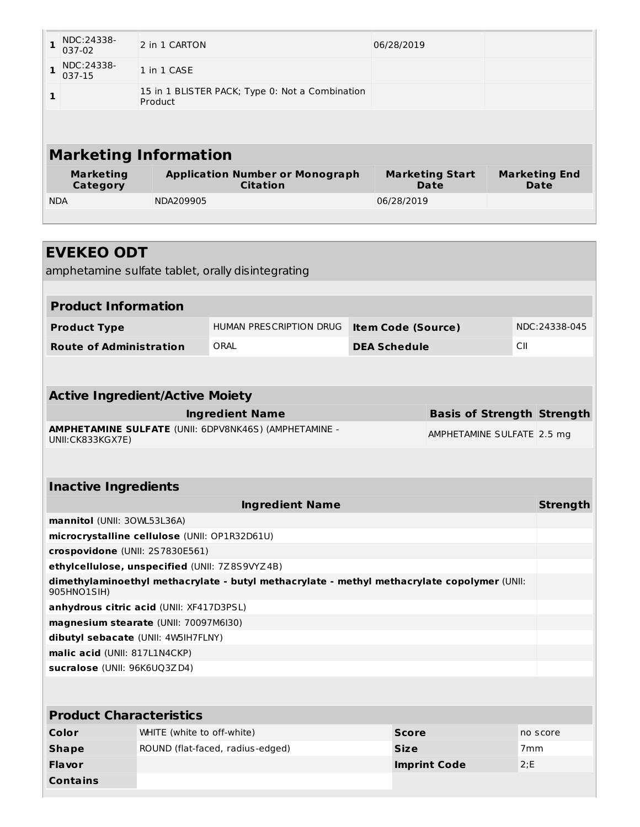|                              | NDC:24338-<br>037-02         | 2 in 1 CARTON                                              | 06/28/2019                     |                              |  |  |  |  |
|------------------------------|------------------------------|------------------------------------------------------------|--------------------------------|------------------------------|--|--|--|--|
|                              | NDC:24338-<br>037-15         | 1 in 1 CASE                                                |                                |                              |  |  |  |  |
| $\mathbf{1}$                 |                              | 15 in 1 BLISTER PACK; Type 0: Not a Combination<br>Product |                                |                              |  |  |  |  |
|                              |                              |                                                            |                                |                              |  |  |  |  |
| <b>Marketing Information</b> |                              |                                                            |                                |                              |  |  |  |  |
|                              | <b>Marketing</b><br>Category | <b>Application Number or Monograph</b><br><b>Citation</b>  | <b>Marketing Start</b><br>Date | <b>Marketing End</b><br>Date |  |  |  |  |
| <b>NDA</b>                   |                              | NDA209905                                                  | 06/28/2019                     |                              |  |  |  |  |
|                              |                              |                                                            |                                |                              |  |  |  |  |

| <b>EVEKEO ODT</b>                                                                                          |                                            |                                  |                     |                                   |                 |                 |  |  |  |
|------------------------------------------------------------------------------------------------------------|--------------------------------------------|----------------------------------|---------------------|-----------------------------------|-----------------|-----------------|--|--|--|
| amphetamine sulfate tablet, orally disintegrating                                                          |                                            |                                  |                     |                                   |                 |                 |  |  |  |
|                                                                                                            |                                            |                                  |                     |                                   |                 |                 |  |  |  |
| <b>Product Information</b>                                                                                 |                                            |                                  |                     |                                   |                 |                 |  |  |  |
| <b>Product Type</b>                                                                                        |                                            | <b>HUMAN PRESCRIPTION DRUG</b>   |                     | <b>Item Code (Source)</b>         |                 | NDC:24338-045   |  |  |  |
| <b>Route of Administration</b>                                                                             |                                            | ORAI                             | <b>DEA Schedule</b> | CIL                               |                 |                 |  |  |  |
|                                                                                                            |                                            |                                  |                     |                                   |                 |                 |  |  |  |
|                                                                                                            |                                            |                                  |                     |                                   |                 |                 |  |  |  |
| <b>Active Ingredient/Active Moiety</b>                                                                     |                                            |                                  |                     |                                   |                 |                 |  |  |  |
|                                                                                                            |                                            | <b>Ingredient Name</b>           |                     | <b>Basis of Strength Strength</b> |                 |                 |  |  |  |
| AMPHETAMINE SULFATE (UNII: 6DPV8NK46S) (AMPHETAMINE -<br>AMPHETAMINE SULFATE 2.5 mg<br>UNII: CK833KGX7E)   |                                            |                                  |                     |                                   |                 |                 |  |  |  |
|                                                                                                            |                                            |                                  |                     |                                   |                 |                 |  |  |  |
|                                                                                                            |                                            |                                  |                     |                                   |                 |                 |  |  |  |
| <b>Inactive Ingredients</b>                                                                                |                                            |                                  |                     |                                   |                 |                 |  |  |  |
|                                                                                                            |                                            | <b>Ingredient Name</b>           |                     |                                   |                 | <b>Strength</b> |  |  |  |
| mannitol (UNII: 30WL53L36A)                                                                                |                                            |                                  |                     |                                   |                 |                 |  |  |  |
| microcrystalline cellulose (UNII: OP1R32D61U)                                                              |                                            |                                  |                     |                                   |                 |                 |  |  |  |
| crospovidone (UNII: 2S7830E561)                                                                            |                                            |                                  |                     |                                   |                 |                 |  |  |  |
| ethylcellulose, unspecified (UNII: 7Z8S9VYZ4B)                                                             |                                            |                                  |                     |                                   |                 |                 |  |  |  |
| dimethylaminoethyl methacrylate - butyl methacrylate - methyl methacrylate copolymer (UNII:<br>905HNO1SIH) |                                            |                                  |                     |                                   |                 |                 |  |  |  |
| anhydrous citric acid (UNII: XF417D3PSL)                                                                   |                                            |                                  |                     |                                   |                 |                 |  |  |  |
| magnesium stearate (UNII: 70097M6I30)                                                                      |                                            |                                  |                     |                                   |                 |                 |  |  |  |
| dibutyl sebacate (UNII: 4W5IH7FLNY)                                                                        |                                            |                                  |                     |                                   |                 |                 |  |  |  |
| malic acid (UNII: 817L1N4CKP)                                                                              |                                            |                                  |                     |                                   |                 |                 |  |  |  |
| sucralose (UNII: 96K6UQ3ZD4)                                                                               |                                            |                                  |                     |                                   |                 |                 |  |  |  |
|                                                                                                            |                                            |                                  |                     |                                   |                 |                 |  |  |  |
|                                                                                                            |                                            |                                  |                     |                                   |                 |                 |  |  |  |
| <b>Product Characteristics</b>                                                                             |                                            |                                  |                     |                                   |                 |                 |  |  |  |
| Color                                                                                                      | WHITE (white to off-white)<br><b>Score</b> |                                  | no score            |                                   |                 |                 |  |  |  |
| <b>Shape</b>                                                                                               |                                            | ROUND (flat-faced, radius-edged) | <b>Size</b>         |                                   | 7 <sub>mm</sub> |                 |  |  |  |
| <b>Flavor</b>                                                                                              |                                            |                                  |                     | <b>Imprint Code</b>               | 2: E            |                 |  |  |  |

**Contains**